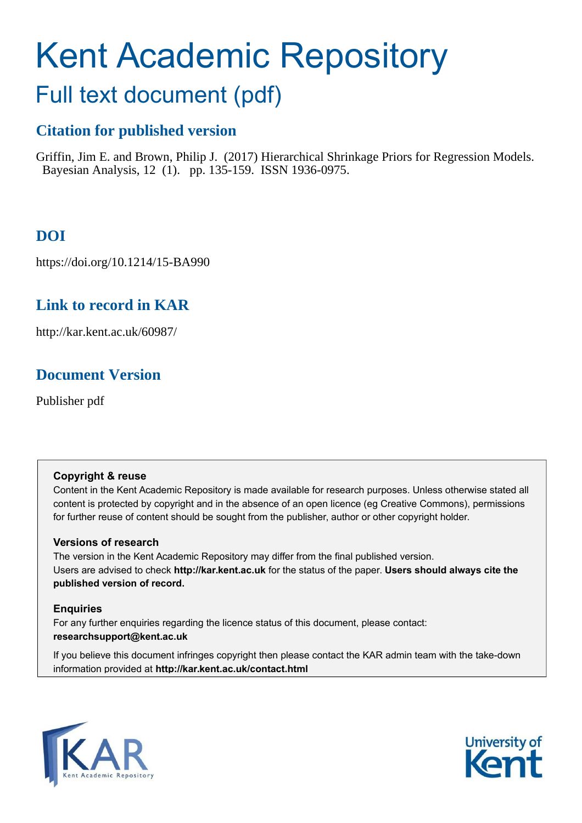# Kent Academic Repository

# <span id="page-0-2"></span>Full text document (pdf)

# **Citation for published version**

Griffin, Jim E. and Brown, Philip J. (2017) Hierarchical Shrinkage Priors for Regression Models. Bayesian Analysis, 12 (1). pp. 135-159. ISSN 1936-0975.

# **DOI**

https://doi.org/10.1214/15-BA990

# **Link to record in KAR**

http://kar.kent.ac.uk/60987/

# **Document Version**

Publisher pdf

# **Copyright & reuse**

Content in the Kent Academic Repository is made available for research purposes. Unless otherwise stated all content is protected by copyright and in the absence of an open licence (eg Creative Commons), permissions for further reuse of content should be sought from the publisher, author or other copyright holder.

# **Versions of research**

The version in the Kent Academic Repository may differ from the final published version. Users are advised to check **http://kar.kent.ac.uk** for the status of the paper. **Users should always cite the published version of record.**

# **Enquiries**

<span id="page-0-0"></span>For any further enquiries regarding the licence status of this document, please contact: **researchsupport@kent.ac.uk**

<span id="page-0-1"></span>If you believe this document infringes copyright then please contact the KAR admin team with the take-down information provided at **http://kar.kent.ac.uk/contact.html**



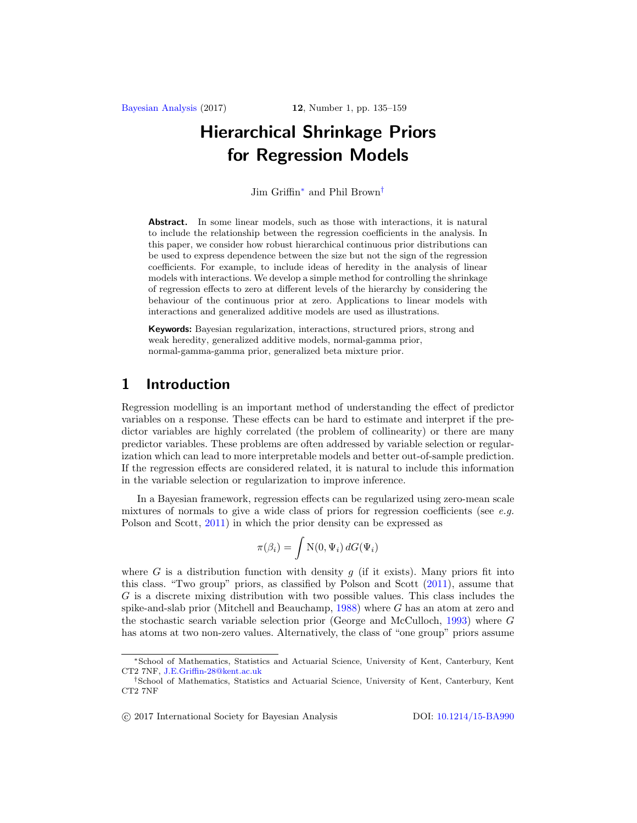# <span id="page-1-0"></span>Hierarchical Shrinkage Priors for Regression Models

Jim Griffin[∗](#page-0-0) and Phil Brown[†](#page-0-1)

Abstract. In some linear models, such as those with interactions, it is natural to include the relationship between the regression coefficients in the analysis. In this paper, we consider how robust hierarchical continuous prior distributions can be used to express dependence between the size but not the sign of the regression coefficients. For example, to include ideas of heredity in the analysis of linear models with interactions. We develop a simple method for controlling the shrinkage of regression effects to zero at different levels of the hierarchy by considering the behaviour of the continuous prior at zero. Applications to linear models with interactions and generalized additive models are used as illustrations.

Keywords: Bayesian regularization, interactions, structured priors, strong and weak heredity, generalized additive models, normal-gamma prior, normal-gamma-gamma prior, generalized beta mixture prior.

# 1 Introduction

Regression modelling is an important method of understanding the effect of predictor variables on a response. These effects can be hard to estimate and interpret if the predictor variables are highly correlated (the problem of collinearity) or there are many predictor variables. These problems are often addressed by variable selection or regularization which can lead to more interpretable models and better out-of-sample prediction. If the regression effects are considered related, it is natural to include this information in the variable selection or regularization to improve inference.

In a Bayesian framework, regression effects can be regularized using zero-mean scale mixtures of normals to give a wide class of priors for regression coefficients (see  $e.g.$ Polson and Scott, [2011\)](#page-23-0) in which the prior density can be expressed as

$$
\pi(\beta_i) = \int \mathcal{N}(0, \Psi_i) dG(\Psi_i)
$$

where G is a distribution function with density g (if it exists). Many priors fit into this class. "Two group" priors, as classified by Polson and Scott [\(2011](#page-23-0)), assume that G is a discrete mixing distribution with two possible values. This class includes the spike-and-slab prior (Mitchell and Beauchamp, [1988](#page-23-1)) where G has an atom at zero and the stochastic search variable selection prior (George and McCulloch, [1993](#page-22-0)) where G has atoms at two non-zero values. Alternatively, the class of "one group" priors assume

-c 2017 International Society for Bayesian Analysis DOI: [10.1214/15-BA990](http://dx.doi.org/10.1214/15-BA990)

<sup>∗</sup>School of Mathematics, Statistics and Actuarial Science, University of Kent, Canterbury, Kent CT2 7NF, [J.E.Griffin-28@kent.ac.uk](mailto:J.E.Griffin-28@kent.ac.uk)

<sup>†</sup>School of Mathematics, Statistics and Actuarial Science, University of Kent, Canterbury, Kent CT2 7NF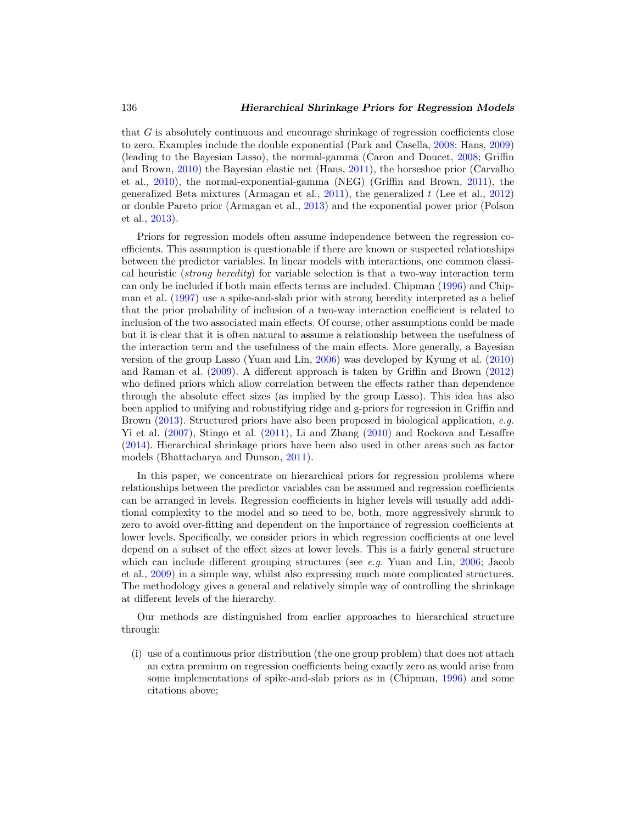<span id="page-2-3"></span>that G is absolutely continuous and encourage shrinkage of regression coefficients close to zero. Examples include the double exponential (Park and Casella, [2008](#page-23-2); Hans, [2009\)](#page-22-1) (leading to the Bayesian Lasso), the normal-gamma (Caron and Doucet, [2008;](#page-21-0) Griffin and Brown, [2010](#page-22-2)) the Bayesian elastic net (Hans, [2011](#page-22-3)), the horseshoe prior (Carvalho et al., [2010\)](#page-21-1), the normal-exponential-gamma (NEG) (Griffin and Brown, [2011](#page-22-4)), the generalized Beta mixtures (Armagan et al., [2011](#page-21-2)), the generalized t (Lee et al., [2012\)](#page-23-3) or double Pareto prior (Armagan et al., [2013](#page-21-3)) and the exponential power prior (Polson et al., [2013\)](#page-24-0).

<span id="page-2-0"></span>Priors for regression models often assume independence between the regression coefficients. This assumption is questionable if there are known or suspected relationships between the predictor variables. In linear models with interactions, one common classical heuristic (strong heredity) for variable selection is that a two-way interaction term can only be included if both main effects terms are included. Chipman [\(1996\)](#page-21-4) and Chipman et al. [\(1997\)](#page-22-5) use a spike-and-slab prior with strong heredity interpreted as a belief that the prior probability of inclusion of a two-way interaction coefficient is related to inclusion of the two associated main effects. Of course, other assumptions could be made but it is clear that it is often natural to assume a relationship between the usefulness of the interaction term and the usefulness of the main effects. More generally, a Bayesian version of the group Lasso (Yuan and Lin, [2006\)](#page-24-1) was developed by Kyung et al. [\(2010\)](#page-23-4) and Raman et al. [\(2009\)](#page-24-2). A different approach is taken by Griffin and Brown [\(2012\)](#page-22-6) who defined priors which allow correlation between the effects rather than dependence through the absolute effect sizes (as implied by the group Lasso). This idea has also been applied to unifying and robustifying ridge and g-priors for regression in Griffin and Brown [\(2013](#page-22-7)). Structured priors have also been proposed in biological application, e.g. Yi et al. [\(2007\)](#page-24-3), Stingo et al. [\(2011](#page-24-4)), Li and Zhang [\(2010\)](#page-23-5) and Rockova and Lesaffre [\(2014\)](#page-24-5). Hierarchical shrinkage priors have been also used in other areas such as factor models (Bhattacharya and Dunson, [2011\)](#page-21-5).

<span id="page-2-1"></span>In this paper, we concentrate on hierarchical priors for regression problems where relationships between the predictor variables can be assumed and regression coefficients can be arranged in levels. Regression coefficients in higher levels will usually add additional complexity to the model and so need to be, both, more aggressively shrunk to zero to avoid over-fitting and dependent on the importance of regression coefficients at lower levels. Specifically, we consider priors in which regression coefficients at one level depend on a subset of the effect sizes at lower levels. This is a fairly general structure which can include different grouping structures (see e.g. Yuan and Lin, [2006](#page-24-1); Jacob et al., [2009\)](#page-23-6) in a simple way, whilst also expressing much more complicated structures. The methodology gives a general and relatively simple way of controlling the shrinkage at different levels of the hierarchy.

Our methods are distinguished from earlier approaches to hierarchical structure through:

<span id="page-2-2"></span>(i) use of a continuous prior distribution (the one group problem) that does not attach an extra premium on regression coefficients being exactly zero as would arise from some implementations of spike-and-slab priors as in (Chipman, [1996\)](#page-21-4) and some citations above;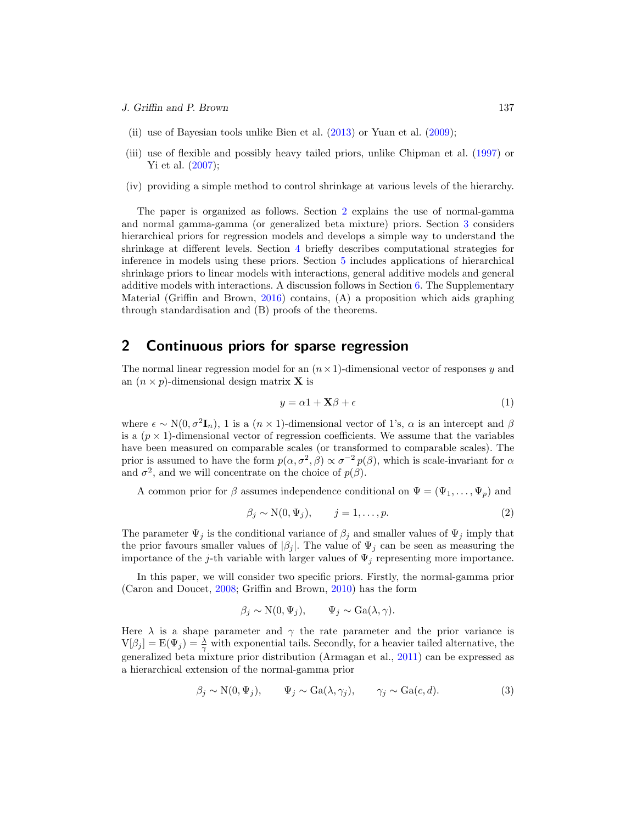- <span id="page-3-1"></span>(ii) use of Bayesian tools unlike Bien et al. [\(2013\)](#page-21-6) or Yuan et al. [\(2009\)](#page-24-6);
- (iii) use of flexible and possibly heavy tailed priors, unlike Chipman et al. [\(1997\)](#page-22-5) or Yi et al.  $(2007);$
- (iv) providing a simple method to control shrinkage at various levels of the hierarchy.

<span id="page-3-0"></span>The paper is organized as follows. Section [2](#page-2-0) explains the use of normal-gamma and normal gamma-gamma (or generalized beta mixture) priors. Section [3](#page-4-0) considers hierarchical priors for regression models and develops a simple way to understand the shrinkage at different levels. Section [4](#page-11-0) briefly describes computational strategies for inference in models using these priors. Section [5](#page-12-0) includes applications of hierarchical shrinkage priors to linear models with interactions, general additive models and general additive models with interactions. A discussion follows in Section [6.](#page-20-0) The Supplementary Material (Griffin and Brown, [2016\)](#page-22-8) contains, (A) a proposition which aids graphing through standardisation and (B) proofs of the theorems.

# 2 Continuous priors for sparse regression

The normal linear regression model for an  $(n \times 1)$ -dimensional vector of responses y and an  $(n \times p)$ -dimensional design matrix **X** is

$$
y = \alpha 1 + \mathbf{X}\beta + \epsilon \tag{1}
$$

where  $\epsilon \sim N(0, \sigma^2 I_n)$ , 1 is a  $(n \times 1)$ -dimensional vector of 1's,  $\alpha$  is an intercept and  $\beta$ is a  $(p \times 1)$ -dimensional vector of regression coefficients. We assume that the variables have been measured on comparable scales (or transformed to comparable scales). The prior is assumed to have the form  $p(\alpha, \sigma^2, \beta) \propto \sigma^{-2} p(\beta)$ , which is scale-invariant for  $\alpha$ and  $\sigma^2$ , and we will concentrate on the choice of  $p(\beta)$ .

A common prior for  $\beta$  assumes independence conditional on  $\Psi = (\Psi_1, \dots, \Psi_p)$  and

$$
\beta_j \sim \mathcal{N}(0, \Psi_j), \qquad j = 1, \dots, p. \tag{2}
$$

The parameter  $\Psi_j$  is the conditional variance of  $\beta_j$  and smaller values of  $\Psi_j$  imply that the prior favours smaller values of  $|\beta_j|$ . The value of  $\Psi_j$  can be seen as measuring the importance of the j-th variable with larger values of  $\Psi_i$  representing more importance.

In this paper, we will consider two specific priors. Firstly, the normal-gamma prior (Caron and Doucet, [2008;](#page-21-0) Griffin and Brown, [2010](#page-22-2)) has the form

$$
\beta_j \sim N(0, \Psi_j), \qquad \Psi_j \sim Ga(\lambda, \gamma).
$$

Here  $\lambda$  is a shape parameter and  $\gamma$  the rate parameter and the prior variance is  $V[\beta_j] = E(\Psi_j) = \frac{\lambda}{\gamma}$  with exponential tails. Secondly, for a heavier tailed alternative, the generalized beta mixture prior distribution (Armagan et al., [2011\)](#page-21-2) can be expressed as a hierarchical extension of the normal-gamma prior

$$
\beta_j \sim N(0, \Psi_j), \qquad \Psi_j \sim Ga(\lambda, \gamma_j), \qquad \gamma_j \sim Ga(c, d).
$$
\n(3)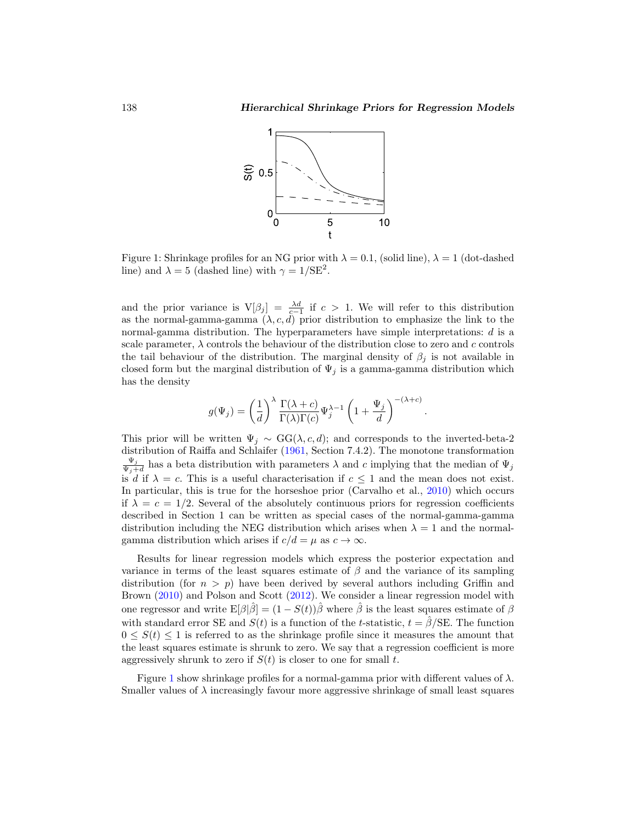.

<span id="page-4-5"></span>

<span id="page-4-1"></span><span id="page-4-0"></span>Figure 1: Shrinkage profiles for an NG prior with  $\lambda = 0.1$ , (solid line),  $\lambda = 1$  (dot-dashed line) and  $\lambda = 5$  (dashed line) with  $\gamma = 1/\text{SE}^2$ .

<span id="page-4-3"></span>and the prior variance is  $V[\beta_j] = \frac{\lambda d}{c-1}$  if  $c > 1$ . We will refer to this distribution as the normal-gamma-gamma  $(\lambda, c, d)$  prior distribution to emphasize the link to the normal-gamma distribution. The hyperparameters have simple interpretations: d is a scale parameter,  $\lambda$  controls the behaviour of the distribution close to zero and c controls the tail behaviour of the distribution. The marginal density of  $\beta_j$  is not available in closed form but the marginal distribution of  $\Psi_j$  is a gamma-gamma distribution which has the density

<span id="page-4-2"></span>
$$
g(\Psi_j) = \left(\frac{1}{d}\right)^{\lambda} \frac{\Gamma(\lambda + c)}{\Gamma(\lambda)\Gamma(c)} \Psi_j^{\lambda - 1} \left(1 + \frac{\Psi_j}{d}\right)^{-(\lambda + c)}
$$

This prior will be written  $\Psi_j \sim GG(\lambda, c, d)$ ; and corresponds to the inverted-beta-2 distribution of Raiffa and Schlaifer [\(1961,](#page-24-7) Section 7.4.2). The monotone transformation  $\Psi_j$  $\frac{\Psi_j}{\Psi_j+d}$  has a beta distribution with parameters  $\lambda$  and c implying that the median of  $\Psi_j$ is d if  $\lambda = c$ . This is a useful characterisation if  $c \leq 1$  and the mean does not exist. In particular, this is true for the horseshoe prior (Carvalho et al., [2010](#page-21-1)) which occurs if  $\lambda = c = 1/2$ . Several of the absolutely continuous priors for regression coefficients described in Section 1 can be written as special cases of the normal-gamma-gamma distribution including the NEG distribution which arises when  $\lambda = 1$  and the normalgamma distribution which arises if  $c/d = \mu$  as  $c \to \infty$ .

<span id="page-4-4"></span>Results for linear regression models which express the posterior expectation and variance in terms of the least squares estimate of  $\beta$  and the variance of its sampling distribution (for  $n>p$ ) have been derived by several authors including Griffin and Brown [\(2010](#page-22-2)) and Polson and Scott [\(2012\)](#page-24-8). We consider a linear regression model with one regressor and write  $E[\beta|\hat{\beta}] = (1 - S(t))\hat{\beta}$  where  $\hat{\beta}$  is the least squares estimate of  $\beta$ with standard error SE and  $S(t)$  is a function of the t-statistic,  $t = \hat{\beta}/SE$ . The function  $0 \leq S(t) \leq 1$  is referred to as the shrinkage profile since it measures the amount that the least squares estimate is shrunk to zero. We say that a regression coefficient is more aggressively shrunk to zero if  $S(t)$  is closer to one for small t.

Figure [1](#page-3-0) show shrinkage profiles for a normal-gamma prior with different values of  $\lambda$ . Smaller values of  $\lambda$  increasingly favour more aggressive shrinkage of small least squares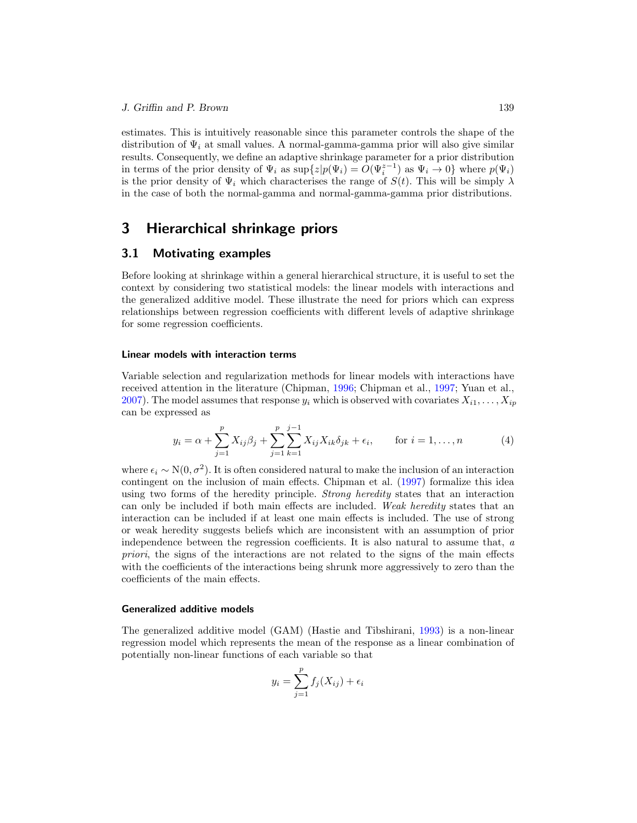<span id="page-5-0"></span>estimates. This is intuitively reasonable since this parameter controls the shape of the distribution of  $\Psi_i$  at small values. A normal-gamma-gamma prior will also give similar results. Consequently, we define an adaptive shrinkage parameter for a prior distribution in terms of the prior density of  $\Psi_i$  as  $\sup\{z|p(\Psi_i)=O(\Psi_i^{z-1})\}$  as  $\Psi_i\to 0\}$  where  $p(\Psi_i)$ is the prior density of  $\Psi_i$  which characterises the range of  $S(t)$ . This will be simply  $\lambda$ in the case of both the normal-gamma and normal-gamma-gamma prior distributions.

## 3 Hierarchical shrinkage priors

#### 3.1 Motivating examples

Before looking at shrinkage within a general hierarchical structure, it is useful to set the context by considering two statistical models: the linear models with interactions and the generalized additive model. These illustrate the need for priors which can express relationships between regression coefficients with different levels of adaptive shrinkage for some regression coefficients.

#### Linear models with interaction terms

Variable selection and regularization methods for linear models with interactions have received attention in the literature (Chipman, [1996](#page-21-4); Chipman et al., [1997](#page-22-5); Yuan et al., [2007\)](#page-24-9). The model assumes that response  $y_i$  which is observed with covariates  $X_{i1},\ldots,X_{ip}$ can be expressed as

$$
y_i = \alpha + \sum_{j=1}^p X_{ij} \beta_j + \sum_{j=1}^p \sum_{k=1}^{j-1} X_{ij} X_{ik} \delta_{jk} + \epsilon_i, \quad \text{for } i = 1, ..., n
$$
 (4)

where  $\epsilon_i \sim N(0, \sigma^2)$ . It is often considered natural to make the inclusion of an interaction contingent on the inclusion of main effects. Chipman et al. [\(1997](#page-22-5)) formalize this idea using two forms of the heredity principle. Strong heredity states that an interaction can only be included if both main effects are included. Weak heredity states that an interaction can be included if at least one main effects is included. The use of strong or weak heredity suggests beliefs which are inconsistent with an assumption of prior independence between the regression coefficients. It is also natural to assume that, a priori, the signs of the interactions are not related to the signs of the main effects with the coefficients of the interactions being shrunk more aggressively to zero than the coefficients of the main effects.

#### Generalized additive models

The generalized additive model (GAM) (Hastie and Tibshirani, [1993\)](#page-22-9) is a non-linear regression model which represents the mean of the response as a linear combination of potentially non-linear functions of each variable so that

$$
y_i = \sum_{j=1}^p f_j(X_{ij}) + \epsilon_i
$$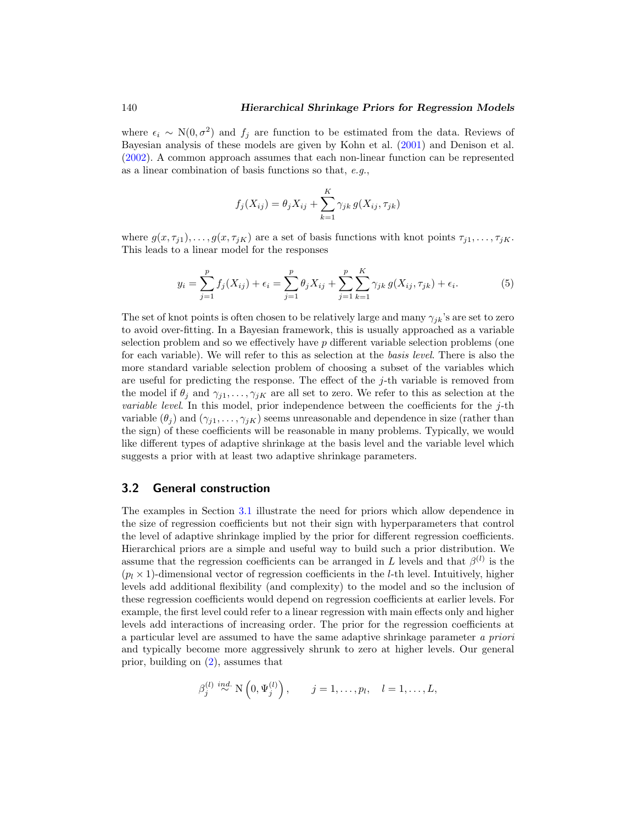<span id="page-6-2"></span><span id="page-6-0"></span>where  $\epsilon_i \sim N(0, \sigma^2)$  and  $f_j$  are function to be estimated from the data. Reviews of Bayesian analysis of these models are given by Kohn et al. [\(2001](#page-23-7)) and Denison et al. [\(2002\)](#page-22-10). A common approach assumes that each non-linear function can be represented as a linear combination of basis functions so that, e.g.,

$$
f_j(X_{ij}) = \theta_j X_{ij} + \sum_{k=1}^K \gamma_{jk} g(X_{ij}, \tau_{jk})
$$

where  $g(x, \tau_{j1}), \ldots, g(x, \tau_{jK})$  are a set of basis functions with knot points  $\tau_{j1}, \ldots, \tau_{jK}$ . This leads to a linear model for the responses

$$
y_i = \sum_{j=1}^p f_j(X_{ij}) + \epsilon_i = \sum_{j=1}^p \theta_j X_{ij} + \sum_{j=1}^p \sum_{k=1}^K \gamma_{jk} g(X_{ij}, \tau_{jk}) + \epsilon_i.
$$
 (5)

<span id="page-6-1"></span>The set of knot points is often chosen to be relatively large and many  $\gamma_{jk}$ 's are set to zero to avoid over-fitting. In a Bayesian framework, this is usually approached as a variable selection problem and so we effectively have  $p$  different variable selection problems (one for each variable). We will refer to this as selection at the basis level. There is also the more standard variable selection problem of choosing a subset of the variables which are useful for predicting the response. The effect of the j-th variable is removed from the model if  $\theta_j$  and  $\gamma_{j1},\ldots,\gamma_{jK}$  are all set to zero. We refer to this as selection at the *variable level.* In this model, prior independence between the coefficients for the  $j$ -th variable  $(\theta_i)$  and  $(\gamma_{i1},\ldots,\gamma_{iK})$  seems unreasonable and dependence in size (rather than the sign) of these coefficients will be reasonable in many problems. Typically, we would like different types of adaptive shrinkage at the basis level and the variable level which suggests a prior with at least two adaptive shrinkage parameters.

#### 3.2 General construction

The examples in Section [3.1](#page-4-1) illustrate the need for priors which allow dependence in the size of regression coefficients but not their sign with hyperparameters that control the level of adaptive shrinkage implied by the prior for different regression coefficients. Hierarchical priors are a simple and useful way to build such a prior distribution. We assume that the regression coefficients can be arranged in L levels and that  $\beta^{(l)}$  is the  $(p_l \times 1)$ -dimensional vector of regression coefficients in the *l*-th level. Intuitively, higher levels add additional flexibility (and complexity) to the model and so the inclusion of these regression coefficients would depend on regression coefficients at earlier levels. For example, the first level could refer to a linear regression with main effects only and higher levels add interactions of increasing order. The prior for the regression coefficients at a particular level are assumed to have the same adaptive shrinkage parameter a priori and typically become more aggressively shrunk to zero at higher levels. Our general prior, building on [\(2\)](#page-2-1), assumes that

$$
\beta_j^{(l)} \stackrel{ind.}{\sim} \mathcal{N}\left(0, \Psi_j^{(l)}\right), \qquad j = 1, \dots, p_l, \quad l = 1, \dots, L,
$$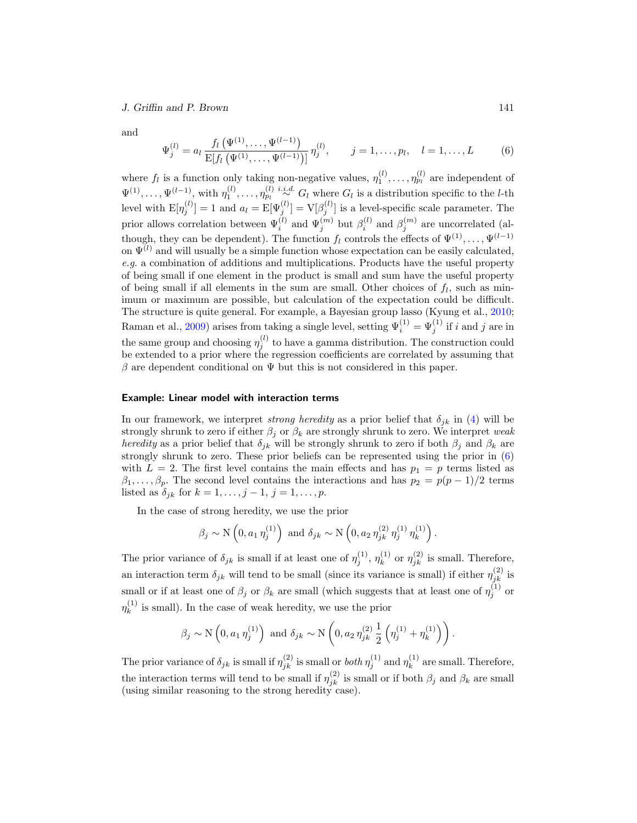J. Griffin and P. Brown 141

and

$$
\Psi_j^{(l)} = a_l \frac{f_l\left(\Psi^{(1)}, \dots, \Psi^{(l-1)}\right)}{\mathrm{E}[f_l\left(\Psi^{(1)}, \dots, \Psi^{(l-1)}\right)]} \eta_j^{(l)}, \qquad j = 1, \dots, p_l, \quad l = 1, \dots, L \tag{6}
$$

<span id="page-7-0"></span>where  $f_l$  is a function only taking non-negative values,  $\eta_1^{(l)}, \ldots, \eta_{p_l}^{(l)}$  are independent of  $\Psi^{(1)}, \ldots, \Psi^{(l-1)},$  with  $\eta_1^{(l)}, \ldots, \eta_{p_l}^{(l)}$  i.i.d.  $G_l$  where  $G_l$  is a distribution specific to the *l*-th level with  $E[\eta_j^{(l)}] = 1$  and  $a_l = E[\Psi_j^{(l)}] = V[\beta_j^{(l)}]$  is a level-specific scale parameter. The prior allows correlation between  $\Psi_i^{(l)}$  and  $\Psi_j^{(m)}$  but  $\beta_i^{(l)}$  and  $\beta_j^{(m)}$  are uncorrelated (although, they can be dependent). The function  $f_l$  controls the effects of  $\Psi^{(1)}, \ldots, \Psi^{(l-1)}$ on  $\Psi^{(l)}$  and will usually be a simple function whose expectation can be easily calculated, e.g. a combination of additions and multiplications. Products have the useful property of being small if one element in the product is small and sum have the useful property of being small if all elements in the sum are small. Other choices of  $f_l$ , such as minimum or maximum are possible, but calculation of the expectation could be difficult. The structure is quite general. For example, a Bayesian group lasso (Kyung et al., [2010;](#page-23-4) Raman et al., [2009\)](#page-24-2) arises from taking a single level, setting  $\Psi_i^{(1)} = \Psi_j^{(1)}$  if i and j are in the same group and choosing  $\eta_j^{(l)}$  to have a gamma distribution. The construction could be extended to a prior where the regression coefficients are correlated by assuming that β are dependent conditional on  $\Psi$  but this is not considered in this paper.

#### Example: Linear model with interaction terms

In our framework, we interpret *strong heredity* as a prior belief that  $\delta_{ik}$  in [\(4\)](#page-4-2) will be strongly shrunk to zero if either  $\beta_j$  or  $\beta_k$  are strongly shrunk to zero. We interpret weak heredity as a prior belief that  $\delta_{jk}$  will be strongly shrunk to zero if both  $\beta_j$  and  $\beta_k$  are strongly shrunk to zero. These prior beliefs can be represented using the prior in [\(6\)](#page-6-0) with  $L = 2$ . The first level contains the main effects and has  $p_1 = p$  terms listed as  $\beta_1,\ldots,\beta_p$ . The second level contains the interactions and has  $p_2 = p(p-1)/2$  terms listed as  $\delta_{ik}$  for  $k = 1, \ldots, j - 1, j = 1, \ldots, p$ .

In the case of strong heredity, we use the prior

$$
\beta_j \sim \mathcal{N}\left(0, a_1 \eta_j^{(1)}\right)
$$
 and  $\delta_{jk} \sim \mathcal{N}\left(0, a_2 \eta_{jk}^{(2)} \eta_j^{(1)} \eta_k^{(1)}\right)$ .

The prior variance of  $\delta_{jk}$  is small if at least one of  $\eta_j^{(1)}$ ,  $\eta_k^{(1)}$  $\binom{1}{k}$  or  $\eta_{jk}^{(2)}$  is small. Therefore, an interaction term  $\delta_{jk}$  will tend to be small (since its variance is small) if either  $\eta_{jk}^{(2)}$  is small or if at least one of  $\beta_j$  or  $\beta_k$  are small (which suggests that at least one of  $\eta_j^{(1)}$  or  $\eta_k^{(1)}$  $\binom{1}{k}$  is small). In the case of weak heredity, we use the prior

$$
\beta_j \sim \mathcal{N}\left(0, a_1 \eta_j^{(1)}\right)
$$
 and  $\delta_{jk} \sim \mathcal{N}\left(0, a_2 \eta_{jk}^{(2)} \frac{1}{2}\left(\eta_j^{(1)} + \eta_k^{(1)}\right)\right)$ .

The prior variance of  $\delta_{jk}$  is small if  $\eta_{jk}^{(2)}$  is small or *both*  $\eta_j^{(1)}$  and  $\eta_k^{(1)}$  $k^{(1)}$  are small. Therefore, the interaction terms will tend to be small if  $\eta_{jk}^{(2)}$  is small or if both  $\beta_j$  and  $\beta_k$  are small (using similar reasoning to the strong heredity case).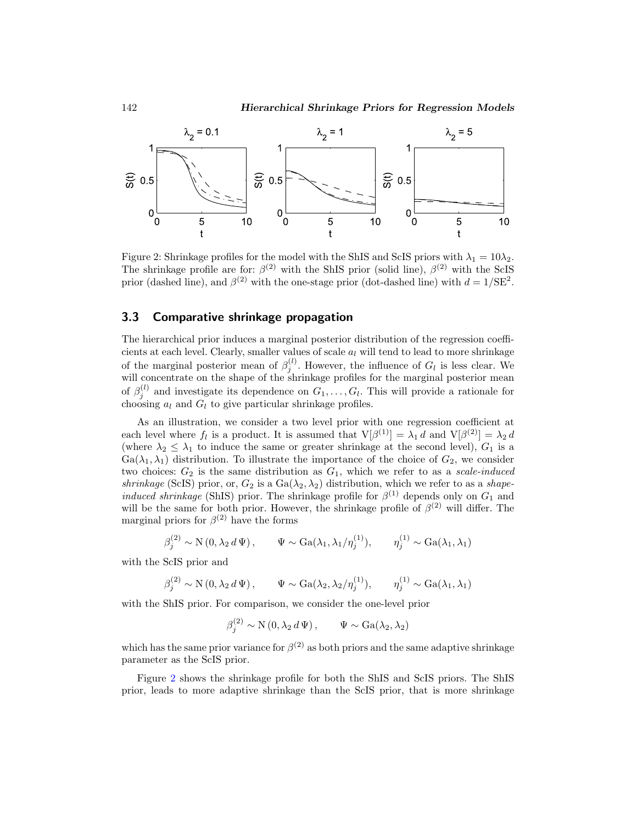<span id="page-8-0"></span>

Figure 2: Shrinkage profiles for the model with the ShIS and ScIS priors with  $\lambda_1 = 10\lambda_2$ . The shrinkage profile are for:  $\beta^{(2)}$  with the ShIS prior (solid line),  $\beta^{(2)}$  with the ScIS prior (dashed line), and  $\beta^{(2)}$  with the one-stage prior (dot-dashed line) with  $d = 1/\text{SE}^2$ .

#### 3.3 Comparative shrinkage propagation

The hierarchical prior induces a marginal posterior distribution of the regression coefficients at each level. Clearly, smaller values of scale  $a_l$  will tend to lead to more shrinkage of the marginal posterior mean of  $\beta_j^{(l)}$ . However, the influence of  $G_l$  is less clear. We will concentrate on the shape of the shrinkage profiles for the marginal posterior mean of  $\beta_j^{(l)}$  and investigate its dependence on  $G_1, \ldots, G_l$ . This will provide a rationale for choosing  $a_l$  and  $G_l$  to give particular shrinkage profiles.

As an illustration, we consider a two level prior with one regression coefficient at each level where  $f_l$  is a product. It is assumed that  $V[\beta^{(1)}] = \lambda_1 d$  and  $V[\beta^{(2)}] = \lambda_2 d$ (where  $\lambda_2 \leq \lambda_1$  to induce the same or greater shrinkage at the second level),  $G_1$  is a  $Ga(\lambda_1, \lambda_1)$  distribution. To illustrate the importance of the choice of  $G_2$ , we consider two choices:  $G_2$  is the same distribution as  $G_1$ , which we refer to as a scale-induced shrinkage (ScIS) prior, or,  $G_2$  is a  $Ga(\lambda_2, \lambda_2)$  distribution, which we refer to as a shape*induced shrinkage* (ShIS) prior. The shrinkage profile for  $\beta^{(1)}$  depends only on  $G_1$  and will be the same for both prior. However, the shrinkage profile of  $\beta^{(2)}$  will differ. The marginal priors for  $\beta^{(2)}$  have the forms

$$
\beta_j^{(2)} \sim \mathcal{N}\left(0, \lambda_2 d \Psi \right), \qquad \Psi \sim \text{Ga}(\lambda_1, \lambda_1/\eta_j^{(1)}), \qquad \eta_j^{(1)} \sim \text{Ga}(\lambda_1, \lambda_1)
$$

with the ScIS prior and

$$
\beta_j^{(2)} \sim \mathcal{N}(0, \lambda_2 d \Psi), \qquad \Psi \sim \text{Ga}(\lambda_2, \lambda_2/\eta_j^{(1)}), \qquad \eta_j^{(1)} \sim \text{Ga}(\lambda_1, \lambda_1)
$$

with the ShIS prior. For comparison, we consider the one-level prior

$$
\beta_j^{(2)} \sim \mathcal{N}(0, \lambda_2 d \Psi), \qquad \Psi \sim \text{Ga}(\lambda_2, \lambda_2)
$$

which has the same prior variance for  $\beta^{(2)}$  as both priors and the same adaptive shrinkage parameter as the ScIS prior.

Figure [2](#page-7-0) shows the shrinkage profile for both the ShIS and ScIS priors. The ShIS prior, leads to more adaptive shrinkage than the ScIS prior, that is more shrinkage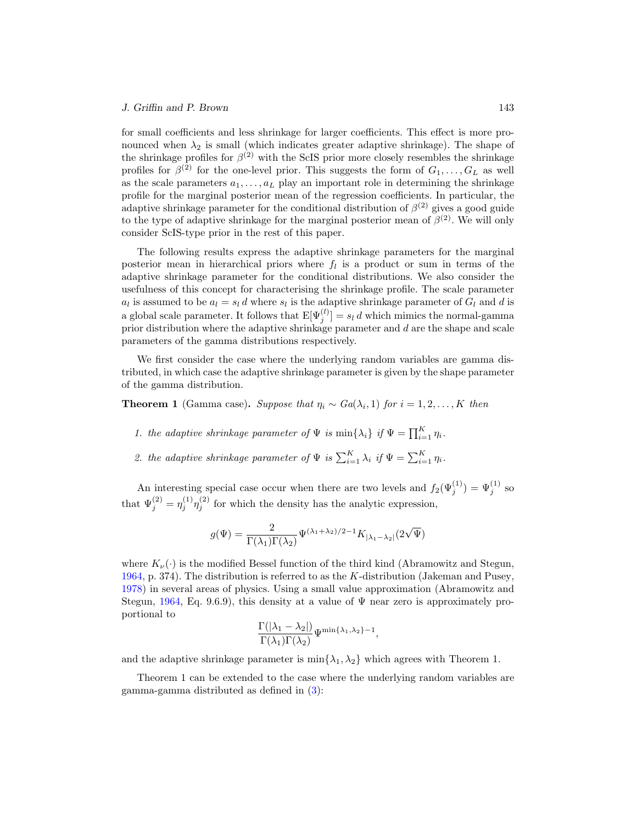for small coefficients and less shrinkage for larger coefficients. This effect is more pronounced when  $\lambda_2$  is small (which indicates greater adaptive shrinkage). The shape of the shrinkage profiles for  $\beta^{(2)}$  with the ScIS prior more closely resembles the shrinkage profiles for  $\beta^{(2)}$  for the one-level prior. This suggests the form of  $G_1, \ldots, G_L$  as well as the scale parameters  $a_1, \ldots, a_L$  play an important role in determining the shrinkage profile for the marginal posterior mean of the regression coefficients. In particular, the adaptive shrinkage parameter for the conditional distribution of  $\beta^{(2)}$  gives a good guide to the type of adaptive shrinkage for the marginal posterior mean of  $\beta^{(2)}$ . We will only consider ScIS-type prior in the rest of this paper.

<span id="page-9-0"></span>The following results express the adaptive shrinkage parameters for the marginal posterior mean in hierarchical priors where  $f_l$  is a product or sum in terms of the adaptive shrinkage parameter for the conditional distributions. We also consider the usefulness of this concept for characterising the shrinkage profile. The scale parameter  $a_l$  is assumed to be  $a_l = s_l d$  where  $s_l$  is the adaptive shrinkage parameter of  $G_l$  and d is a global scale parameter. It follows that  $E[\Psi_j^{(l)}] = s_l d$  which mimics the normal-gamma prior distribution where the adaptive shrinkage parameter and d are the shape and scale parameters of the gamma distributions respectively.

We first consider the case where the underlying random variables are gamma distributed, in which case the adaptive shrinkage parameter is given by the shape parameter of the gamma distribution.

**Theorem 1** (Gamma case). Suppose that  $\eta_i \sim Ga(\lambda_i, 1)$  for  $i = 1, 2, ..., K$  then

- 1. the adaptive shrinkage parameter of  $\Psi$  is  $\min\{\lambda_i\}$  if  $\Psi = \prod_{i=1}^K \eta_i$ .
- 2. the adaptive shrinkage parameter of  $\Psi$  is  $\sum_{i=1}^{K} \lambda_i$  if  $\Psi = \sum_{i=1}^{K} \eta_i$ .

An interesting special case occur when there are two levels and  $f_2(\Psi_j^{(1)}) = \Psi_j^{(1)}$  so that  $\Psi_j^{(2)} = \eta_j^{(1)} \eta_j^{(2)}$  for which the density has the analytic expression,

$$
g(\Psi)=\frac{2}{\Gamma(\lambda_1)\Gamma(\lambda_2)}\Psi^{(\lambda_1+\lambda_2)/2-1}K_{|\lambda_1-\lambda_2|}(2\sqrt{\Psi})
$$

where  $K_{\nu}(\cdot)$  is the modified Bessel function of the third kind (Abramowitz and Stegun, [1964,](#page-21-7) p. 374). The distribution is referred to as the  $K$ -distribution (Jakeman and Pusey, [1978\)](#page-23-8) in several areas of physics. Using a small value approximation (Abramowitz and Stegun, [1964](#page-21-7), Eq. 9.6.9), this density at a value of  $\Psi$  near zero is approximately proportional to

$$
\frac{\Gamma(|\lambda_1-\lambda_2|)}{\Gamma(\lambda_1)\Gamma(\lambda_2)}\Psi^{\min\{\lambda_1,\lambda_2\}-1},
$$

and the adaptive shrinkage parameter is  $\min\{\lambda_1, \lambda_2\}$  which agrees with Theorem 1.

Theorem 1 can be extended to the case where the underlying random variables are gamma-gamma distributed as defined in [\(3\)](#page-2-2):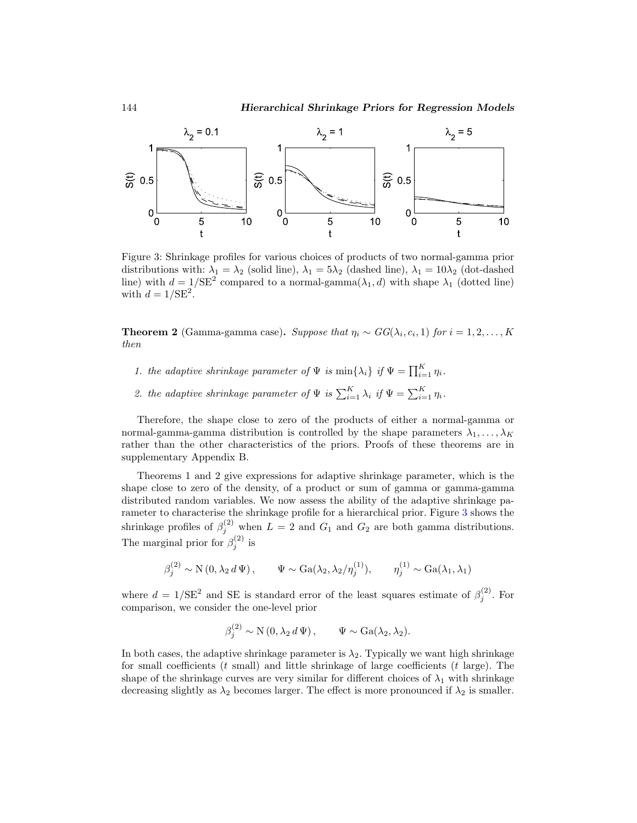

Figure 3: Shrinkage profiles for various choices of products of two normal-gamma prior distributions with:  $\lambda_1 = \lambda_2$  (solid line),  $\lambda_1 = 5\lambda_2$  (dashed line),  $\lambda_1 = 10\lambda_2$  (dot-dashed line) with  $d = 1/\text{SE}^2$  compared to a normal-gamma $(\lambda_1, d)$  with shape  $\lambda_1$  (dotted line) with  $d = 1/\text{SE}^2$ .

**Theorem 2** (Gamma-gamma case). Suppose that  $\eta_i \sim GG(\lambda_i, c_i, 1)$  for  $i = 1, 2, ..., K$ then

- <span id="page-10-0"></span>1. the adaptive shrinkage parameter of  $\Psi$  is  $\min\{\lambda_i\}$  if  $\Psi = \prod_{i=1}^K \eta_i$ .
- 2. the adaptive shrinkage parameter of  $\Psi$  is  $\sum_{i=1}^{K} \lambda_i$  if  $\Psi = \sum_{i=1}^{K} \eta_i$ .

Therefore, the shape close to zero of the products of either a normal-gamma or normal-gamma-gamma distribution is controlled by the shape parameters  $\lambda_1, \ldots, \lambda_K$ rather than the other characteristics of the priors. Proofs of these theorems are in supplementary Appendix B.

Theorems 1 and 2 give expressions for adaptive shrinkage parameter, which is the shape close to zero of the density, of a product or sum of gamma or gamma-gamma distributed random variables. We now assess the ability of the adaptive shrinkage parameter to characterise the shrinkage profile for a hierarchical prior. Figure [3](#page-9-0) shows the shrinkage profiles of  $\beta_j^{(2)}$  when  $L=2$  and  $G_1$  and  $G_2$  are both gamma distributions. The marginal prior for  $\beta_j^{(2)}$  is

$$
\beta_j^{(2)} \sim \mathcal{N}(0, \lambda_2 d \Psi), \qquad \Psi \sim \text{Ga}(\lambda_2, \lambda_2/\eta_j^{(1)}), \qquad \eta_j^{(1)} \sim \text{Ga}(\lambda_1, \lambda_1)
$$

where  $d = 1/\text{SE}^2$  and SE is standard error of the least squares estimate of  $\beta_j^{(2)}$ . For comparison, we consider the one-level prior

$$
\beta_j^{(2)} \sim \mathcal{N}(0, \lambda_2 d \Psi), \qquad \Psi \sim \text{Ga}(\lambda_2, \lambda_2).
$$

In both cases, the adaptive shrinkage parameter is  $\lambda_2$ . Typically we want high shrinkage for small coefficients  $(t \text{ small})$  and little shrinkage of large coefficients  $(t \text{ large})$ . The shape of the shrinkage curves are very similar for different choices of  $\lambda_1$  with shrinkage decreasing slightly as  $\lambda_2$  becomes larger. The effect is more pronounced if  $\lambda_2$  is smaller.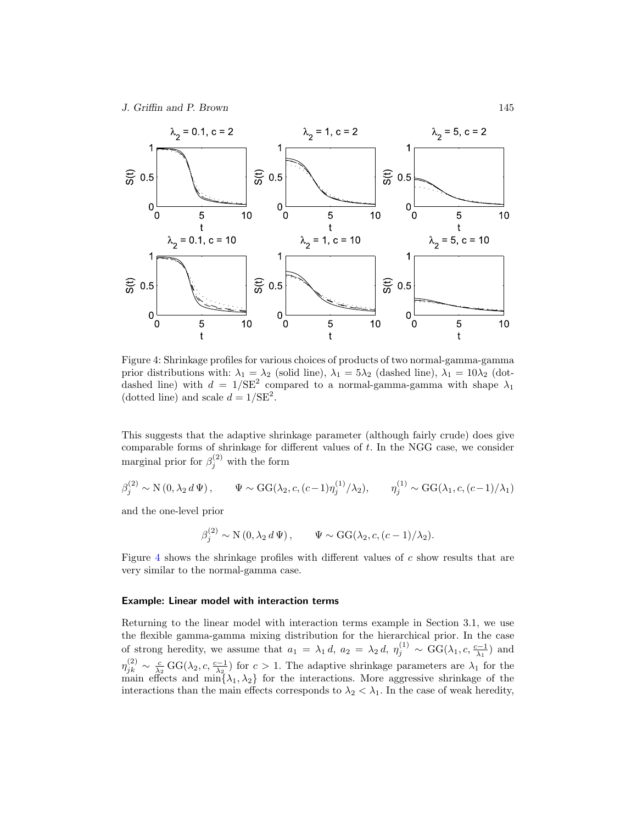<span id="page-11-1"></span>J. Griffin and P. Brown 145

<span id="page-11-0"></span>

Figure 4: Shrinkage profiles for various choices of products of two normal-gamma-gamma prior distributions with:  $\lambda_1 = \lambda_2$  (solid line),  $\lambda_1 = 5\lambda_2$  (dashed line),  $\lambda_1 = 10\lambda_2$  (dotdashed line) with  $d = 1/\text{SE}^2$  compared to a normal-gamma-gamma with shape  $\lambda_1$ (dotted line) and scale  $d = 1/\text{SE}^2$ .

This suggests that the adaptive shrinkage parameter (although fairly crude) does give comparable forms of shrinkage for different values of t. In the NGG case, we consider marginal prior for  $\beta_j^{(2)}$  with the form

$$
\beta_j^{(2)} \sim \mathcal{N}(0, \lambda_2 d \Psi), \qquad \Psi \sim \text{GG}(\lambda_2, c, (c-1)\eta_j^{(1)}/\lambda_2), \qquad \eta_j^{(1)} \sim \text{GG}(\lambda_1, c, (c-1)/\lambda_1)
$$

and the one-level prior

$$
\beta_j^{(2)} \sim \mathcal{N}(0, \lambda_2 d \Psi), \qquad \Psi \sim \text{GG}(\lambda_2, c, (c-1)/\lambda_2).
$$

Figure [4](#page-10-0) shows the shrinkage profiles with different values of c show results that are very similar to the normal-gamma case.

#### Example: Linear model with interaction terms

Returning to the linear model with interaction terms example in Section 3.1, we use the flexible gamma-gamma mixing distribution for the hierarchical prior. In the case of strong heredity, we assume that  $a_1 = \lambda_1 d$ ,  $a_2 = \lambda_2 d$ ,  $\eta_j^{(1)} \sim \text{GG}(\lambda_1, c, \frac{c-1}{\lambda_1})$  and  $\eta_{jk}^{(2)} \sim \frac{c}{\lambda_2} \, \text{GG}(\lambda_2, c, \frac{c-1}{\lambda_2})$  for  $c > 1$ . The adaptive shrinkage parameters are  $\lambda_1$  for the main effects and  $\min\{\lambda_1, \lambda_2\}$  for the interactions. More aggressive shrinkage of the interactions than the main effects corresponds to  $\lambda_2 < \lambda_1$ . In the case of weak heredity,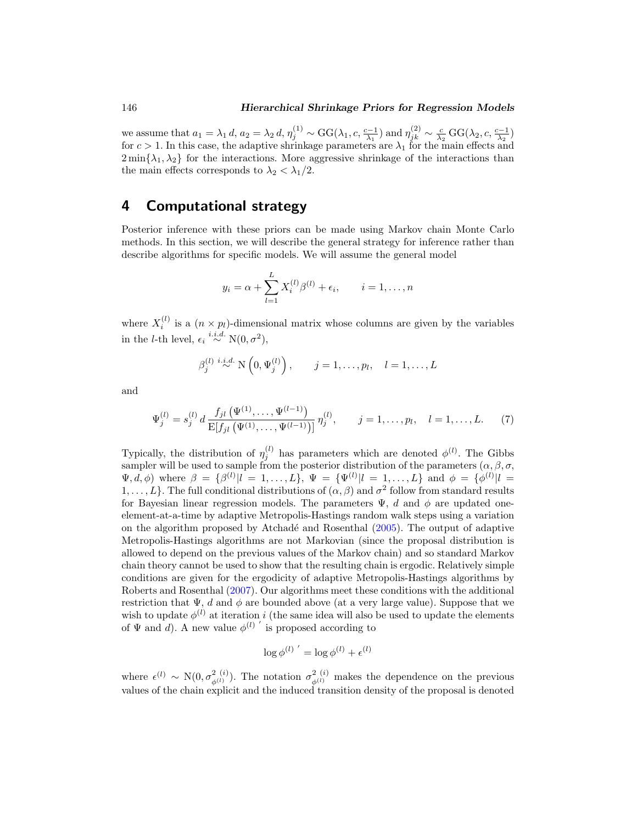<span id="page-12-1"></span>we assume that  $a_1 = \lambda_1 d$ ,  $a_2 = \lambda_2 d$ ,  $\eta_j^{(1)} \sim \text{GG}(\lambda_1, c, \frac{c-1}{\lambda_1})$  and  $\eta_{jk}^{(2)} \sim \frac{c}{\lambda_2} \text{GG}(\lambda_2, c, \frac{c-1}{\lambda_2})$ for  $c > 1$ . In this case, the adaptive shrinkage parameters are  $\lambda_1$  for the main effects and  $2 \min\{\lambda_1, \lambda_2\}$  for the interactions. More aggressive shrinkage of the interactions than the main effects corresponds to  $\lambda_2 < \lambda_1/2$ .

# 4 Computational strategy

Posterior inference with these priors can be made using Markov chain Monte Carlo methods. In this section, we will describe the general strategy for inference rather than describe algorithms for specific models. We will assume the general model

$$
y_i = \alpha + \sum_{l=1}^{L} X_i^{(l)} \beta^{(l)} + \epsilon_i, \qquad i = 1, ..., n
$$

where  $X_i^{(l)}$  is a  $(n \times p_l)$ -dimensional matrix whose columns are given by the variables in the *l*-th level,  $\epsilon_i \stackrel{i.i.d.}{\sim} \text{N}(0, \sigma^2)$ ,

$$
\beta_j^{(l)} \stackrel{i.i.d.}{\sim} \mathcal{N}\left(0, \Psi_j^{(l)}\right), \qquad j = 1, \dots, p_l, \quad l = 1, \dots, L
$$

<span id="page-12-0"></span>and

$$
\Psi_j^{(l)} = s_j^{(l)} d \frac{f_{jl}(\Psi^{(1)}, \dots, \Psi^{(l-1)})}{\mathbb{E}[f_{jl}(\Psi^{(1)}, \dots, \Psi^{(l-1)})]} \eta_j^{(l)}, \qquad j = 1, \dots, p_l, \quad l = 1, \dots, L. \tag{7}
$$

Typically, the distribution of  $\eta_j^{(l)}$  has parameters which are denoted  $\phi^{(l)}$ . The Gibbs sampler will be used to sample from the posterior distribution of the parameters  $(\alpha, \beta, \sigma,$  $\Psi, d, \phi$  where  $\beta = {\beta^{(l)} | l = 1, ..., L}, \Psi = {\Psi^{(l)} | l = 1, ..., L}$  and  $\phi = {\phi^{(l)} | l = 1, ..., L}$ 1,..., L}. The full conditional distributions of  $(\alpha, \beta)$  and  $\sigma^2$  follow from standard results for Bayesian linear regression models. The parameters  $\Psi$ , d and  $\phi$  are updated oneelement-at-a-time by adaptive Metropolis-Hastings random walk steps using a variation on the algorithm proposed by Atchad´e and Rosenthal [\(2005](#page-21-8)). The output of adaptive Metropolis-Hastings algorithms are not Markovian (since the proposal distribution is allowed to depend on the previous values of the Markov chain) and so standard Markov chain theory cannot be used to show that the resulting chain is ergodic. Relatively simple conditions are given for the ergodicity of adaptive Metropolis-Hastings algorithms by Roberts and Rosenthal [\(2007](#page-24-10)). Our algorithms meet these conditions with the additional restriction that  $\Psi$ , d and  $\phi$  are bounded above (at a very large value). Suppose that we wish to update  $\phi^{(l)}$  at iteration i (the same idea will also be used to update the elements of  $\Psi$  and d). A new value  $\phi^{(l)}$  ' is proposed according to

$$
\log \phi^{(l)}{}' = \log \phi^{(l)} + \epsilon^{(l)}
$$

where  $\epsilon^{(l)} \sim N(0, \sigma_{\phi^{(l)}}^2)$ . The notation  $\sigma_{\phi^{(l)}}^2$  makes the dependence on the previous values of the chain explicit and the induced transition density of the proposal is denoted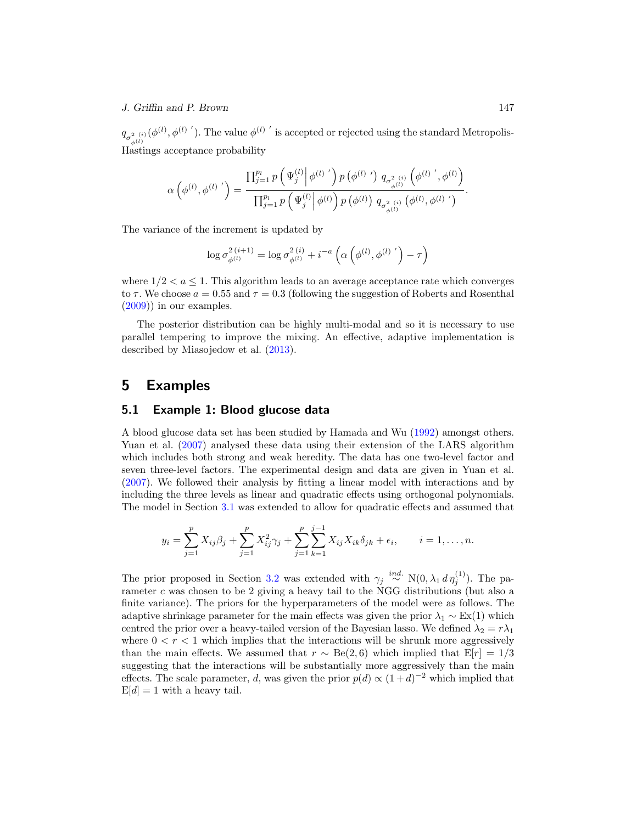#### J. Griffin and P. Brown 147

 $q_{\sigma_{\phi^{(l)}}^2}(\phi^{(l)},\phi^{(l)}')$ . The value  $\phi^{(l)}$  ' is accepted or rejected using the standard Metropolis-Hastings acceptance probability

$$
\alpha\left(\phi^{(l)},\phi^{(l)}\right)'=\frac{\prod_{j=1}^{p_l}p\left(\Psi_j^{(l)}\middle|\phi^{(l)}\right)'p\left(\phi^{(l)}\right)q_{\sigma_{\phi^{(l)}}^2}\left(\phi^{(l)}\right',\phi^{(l)}\right)}{\prod_{j=1}^{p_l}p\left(\Psi_j^{(l)}\middle|\phi^{(l)}\right)p\left(\phi^{(l)}\right)q_{\sigma_{\phi^{(l)}}^2}\left(\phi^{(l)},\phi^{(l)}\right')}.
$$

The variance of the increment is updated by

<span id="page-13-0"></span>
$$
\log \sigma_{\phi^{(l)}}^{2\,(i+1)} = \log \sigma_{\phi^{(l)}}^{2\,(i)} + i^{-a} \left( \alpha \left( \phi^{(l)}, {\phi^{(l)}}' \right) - \tau \right)
$$

where  $1/2 < a < 1$ . This algorithm leads to an average acceptance rate which converges to  $\tau$ . We choose  $a = 0.55$  and  $\tau = 0.3$  (following the suggestion of Roberts and Rosenthal  $(2009)$ ) in our examples.

The posterior distribution can be highly multi-modal and so it is necessary to use parallel tempering to improve the mixing. An effective, adaptive implementation is described by Miasojedow et al. [\(2013\)](#page-23-9).

### 5 Examples

#### 5.1 Example 1: Blood glucose data

A blood glucose data set has been studied by Hamada and Wu [\(1992](#page-22-11)) amongst others. Yuan et al. [\(2007\)](#page-24-9) analysed these data using their extension of the LARS algorithm which includes both strong and weak heredity. The data has one two-level factor and seven three-level factors. The experimental design and data are given in Yuan et al. [\(2007\)](#page-24-9). We followed their analysis by fitting a linear model with interactions and by including the three levels as linear and quadratic effects using orthogonal polynomials. The model in Section [3.1](#page-4-3) was extended to allow for quadratic effects and assumed that

$$
y_i = \sum_{j=1}^p X_{ij} \beta_j + \sum_{j=1}^p X_{ij}^2 \gamma_j + \sum_{j=1}^p \sum_{k=1}^{j-1} X_{ij} X_{ik} \delta_{jk} + \epsilon_i, \qquad i = 1, \dots, n.
$$

The prior proposed in Section [3.2](#page-6-1) was extended with  $\gamma_j \stackrel{ind.}{\sim} N(0, \lambda_1 d \eta_j^{(1)})$ . The parameter c was chosen to be 2 giving a heavy tail to the NGG distributions (but also a finite variance). The priors for the hyperparameters of the model were as follows. The adaptive shrinkage parameter for the main effects was given the prior  $\lambda_1 \sim Ex(1)$  which centred the prior over a heavy-tailed version of the Bayesian lasso. We defined  $\lambda_2 = r \lambda_1$ where  $0 < r < 1$  which implies that the interactions will be shrunk more aggressively than the main effects. We assumed that  $r \sim \text{Be}(2, 6)$  which implied that  $E[r]=1/3$ suggesting that the interactions will be substantially more aggressively than the main effects. The scale parameter, d, was given the prior  $p(d) \propto (1+d)^{-2}$  which implied that  $E[d] = 1$  with a heavy tail.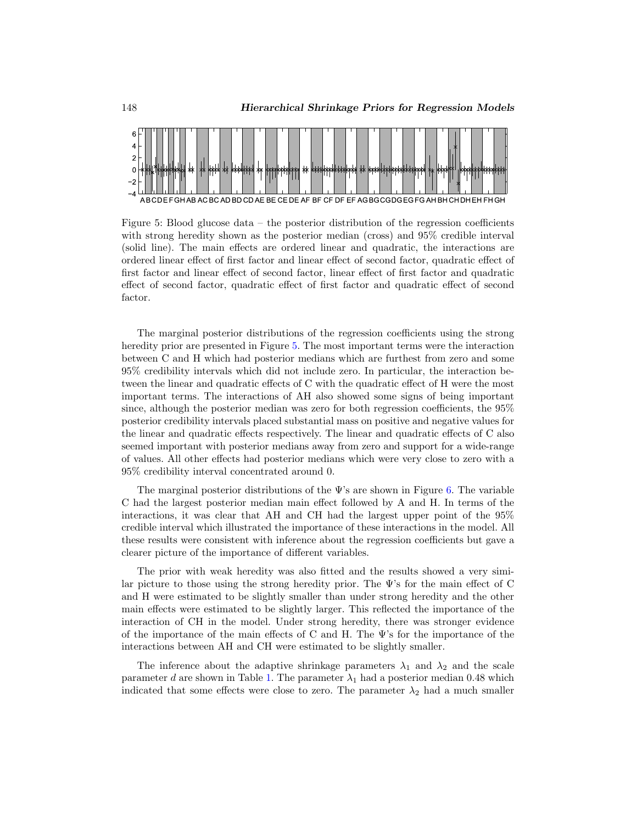<span id="page-14-2"></span>

Figure 5: Blood glucose data – the posterior distribution of the regression coefficients with strong heredity shown as the posterior median (cross) and 95% credible interval (solid line). The main effects are ordered linear and quadratic, the interactions are ordered linear effect of first factor and linear effect of second factor, quadratic effect of first factor and linear effect of second factor, linear effect of first factor and quadratic effect of second factor, quadratic effect of first factor and quadratic effect of second factor.

<span id="page-14-0"></span>The marginal posterior distributions of the regression coefficients using the strong heredity prior are presented in Figure [5.](#page-13-0) The most important terms were the interaction between C and H which had posterior medians which are furthest from zero and some 95% credibility intervals which did not include zero. In particular, the interaction between the linear and quadratic effects of C with the quadratic effect of H were the most important terms. The interactions of AH also showed some signs of being important since, although the posterior median was zero for both regression coefficients, the 95% posterior credibility intervals placed substantial mass on positive and negative values for the linear and quadratic effects respectively. The linear and quadratic effects of C also seemed important with posterior medians away from zero and support for a wide-range of values. All other effects had posterior medians which were very close to zero with a 95% credibility interval concentrated around 0.

<span id="page-14-1"></span>The marginal posterior distributions of the  $\Psi$ 's are shown in Figure [6.](#page-14-0) The variable C had the largest posterior median main effect followed by A and H. In terms of the interactions, it was clear that AH and CH had the largest upper point of the 95% credible interval which illustrated the importance of these interactions in the model. All these results were consistent with inference about the regression coefficients but gave a clearer picture of the importance of different variables.

The prior with weak heredity was also fitted and the results showed a very similar picture to those using the strong heredity prior. The  $\Psi$ 's for the main effect of C and H were estimated to be slightly smaller than under strong heredity and the other main effects were estimated to be slightly larger. This reflected the importance of the interaction of CH in the model. Under strong heredity, there was stronger evidence of the importance of the main effects of C and H. The Ψ's for the importance of the interactions between AH and CH were estimated to be slightly smaller.

The inference about the adaptive shrinkage parameters  $\lambda_1$  and  $\lambda_2$  and the scale parameter d are shown in Table [1.](#page-14-1) The parameter  $\lambda_1$  had a posterior median 0.48 which indicated that some effects were close to zero. The parameter  $\lambda_2$  had a much smaller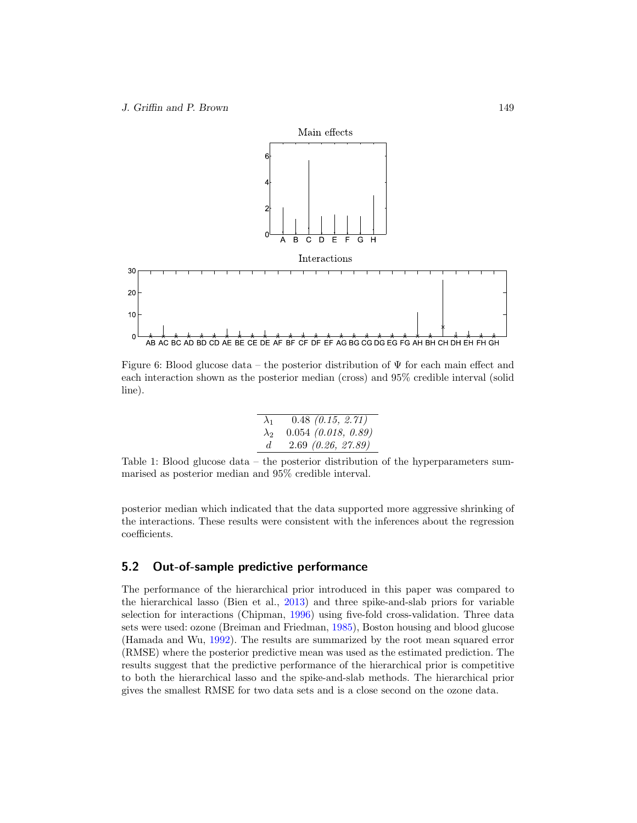<span id="page-15-0"></span>

Figure 6: Blood glucose data – the posterior distribution of  $\Psi$  for each main effect and each interaction shown as the posterior median (cross) and 95% credible interval (solid line).

| $\lambda_1$ | $0.48$ $(0.15, 2.71)$ |
|-------------|-----------------------|
| $\lambda_2$ | $0.054$ (0.018, 0.89) |
| d.          | $2.69\ (0.26, 27.89)$ |

Table 1: Blood glucose data – the posterior distribution of the hyperparameters summarised as posterior median and 95% credible interval.

posterior median which indicated that the data supported more aggressive shrinking of the interactions. These results were consistent with the inferences about the regression coefficients.

#### 5.2 Out-of-sample predictive performance

The performance of the hierarchical prior introduced in this paper was compared to the hierarchical lasso (Bien et al., [2013](#page-21-6)) and three spike-and-slab priors for variable selection for interactions (Chipman, [1996\)](#page-21-4) using five-fold cross-validation. Three data sets were used: ozone (Breiman and Friedman, [1985](#page-21-9)), Boston housing and blood glucose (Hamada and Wu, [1992](#page-22-11)). The results are summarized by the root mean squared error (RMSE) where the posterior predictive mean was used as the estimated prediction. The results suggest that the predictive performance of the hierarchical prior is competitive to both the hierarchical lasso and the spike-and-slab methods. The hierarchical prior gives the smallest RMSE for two data sets and is a close second on the ozone data.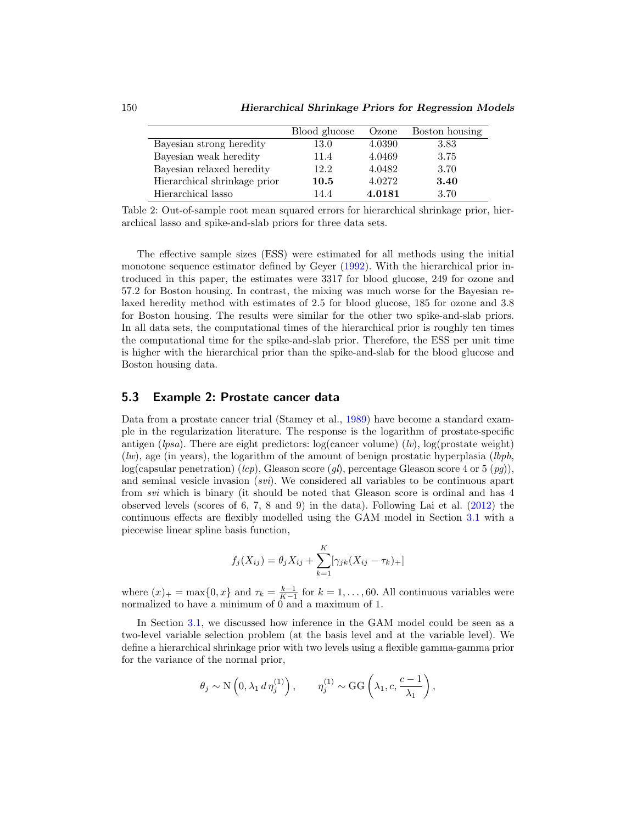|                              | Blood glucose | Ozone  | Boston housing |
|------------------------------|---------------|--------|----------------|
| Bayesian strong heredity     | 13.0          | 4.0390 | 3.83           |
| Bayesian weak heredity       | 11.4          | 4.0469 | 3.75           |
| Bayesian relaxed heredity    | 12.2          | 4.0482 | 3.70           |
| Hierarchical shrinkage prior | 10.5          | 4.0272 | 3.40           |
| Hierarchical lasso           | 14.4          | 4.0181 | 3.70           |

Table 2: Out-of-sample root mean squared errors for hierarchical shrinkage prior, hierarchical lasso and spike-and-slab priors for three data sets.

The effective sample sizes (ESS) were estimated for all methods using the initial monotone sequence estimator defined by Geyer [\(1992\)](#page-22-12). With the hierarchical prior introduced in this paper, the estimates were 3317 for blood glucose, 249 for ozone and 57.2 for Boston housing. In contrast, the mixing was much worse for the Bayesian relaxed heredity method with estimates of 2.5 for blood glucose, 185 for ozone and 3.8 for Boston housing. The results were similar for the other two spike-and-slab priors. In all data sets, the computational times of the hierarchical prior is roughly ten times the computational time for the spike-and-slab prior. Therefore, the ESS per unit time is higher with the hierarchical prior than the spike-and-slab for the blood glucose and Boston housing data.

#### <span id="page-16-0"></span>5.3 Example 2: Prostate cancer data

Data from a prostate cancer trial (Stamey et al., [1989](#page-24-12)) have become a standard example in the regularization literature. The response is the logarithm of prostate-specific antigen (lpsa). There are eight predictors:  $log(cancer volume)$  (lv),  $log(prostate weight)$  $(lw)$ , age (in years), the logarithm of the amount of benign prostatic hyperplasia  $(lbph,$  $log(capsular penetration)$  (lcp), Gleason score (ql), percentage Gleason score 4 or 5 (pq)), and seminal vesicle invasion (svi). We considered all variables to be continuous apart from svi which is binary (it should be noted that Gleason score is ordinal and has 4 observed levels (scores of 6, 7, 8 and 9) in the data). Following Lai et al. [\(2012\)](#page-23-10) the continuous effects are flexibly modelled using the GAM model in Section [3.1](#page-4-4) with a piecewise linear spline basis function,

$$
f_j(X_{ij}) = \theta_j X_{ij} + \sum_{k=1}^{K} [\gamma_{jk}(X_{ij} - \tau_k)_{+}]
$$

where  $(x)_+ = \max\{0, x\}$  and  $\tau_k = \frac{k-1}{K-1}$  for  $k = 1, \ldots, 60$ . All continuous variables were normalized to have a minimum of 0 and a maximum of 1.

In Section [3.1,](#page-4-4) we discussed how inference in the GAM model could be seen as a two-level variable selection problem (at the basis level and at the variable level). We define a hierarchical shrinkage prior with two levels using a flexible gamma-gamma prior for the variance of the normal prior,

$$
\theta_j \sim \mathcal{N}\left(0, \lambda_1 d \eta_j^{(1)}\right), \qquad \eta_j^{(1)} \sim \text{GG}\left(\lambda_1, c, \frac{c-1}{\lambda_1}\right),
$$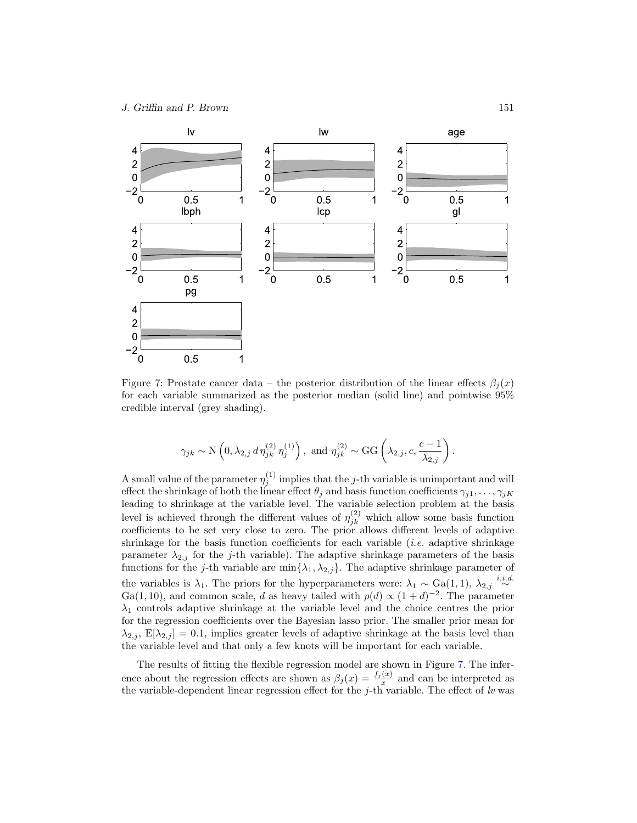<span id="page-17-2"></span>

<span id="page-17-1"></span><span id="page-17-0"></span>Figure 7: Prostate cancer data – the posterior distribution of the linear effects  $\beta_i(x)$ for each variable summarized as the posterior median (solid line) and pointwise 95% credible interval (grey shading).

$$
\gamma_{jk} \sim \mathcal{N}\left(0, \lambda_{2,j} d \eta_{jk}^{(2)} \eta_j^{(1)}\right)
$$
, and  $\eta_{jk}^{(2)} \sim \text{GG}\left(\lambda_{2,j}, c, \frac{c-1}{\lambda_{2,j}}\right)$ .

A small value of the parameter  $\eta_j^{(1)}$  implies that the j-th variable is unimportant and will effect the shrinkage of both the linear effect  $\theta_j$  and basis function coefficients  $\gamma_{j1},\ldots,\gamma_{jK}$ leading to shrinkage at the variable level. The variable selection problem at the basis level is achieved through the different values of  $\eta_{jk}^{(2)}$  which allow some basis function coefficients to be set very close to zero. The prior allows different levels of adaptive shrinkage for the basis function coefficients for each variable  $(i.e.$  adaptive shrinkage parameter  $\lambda_{2,j}$  for the j-th variable). The adaptive shrinkage parameters of the basis functions for the j-th variable are  $\min\{\lambda_1, \lambda_{2,j}\}$ . The adaptive shrinkage parameter of the variables is  $\lambda_1$ . The priors for the hyperparameters were:  $\lambda_1 \sim \text{Ga}(1,1)$ ,  $\lambda_{2,j} \stackrel{i.i.d.}{\sim}$ Ga(1,10), and common scale, d as heavy tailed with  $p(d) \propto (1+d)^{-2}$ . The parameter  $\lambda_1$  controls adaptive shrinkage at the variable level and the choice centres the prior for the regression coefficients over the Bayesian lasso prior. The smaller prior mean for  $\lambda_{2,j}$ ,  $E[\lambda_{2,j}] = 0.1$ , implies greater levels of adaptive shrinkage at the basis level than the variable level and that only a few knots will be important for each variable.

The results of fitting the flexible regression model are shown in Figure [7.](#page-16-0) The inference about the regression effects are shown as  $\beta_j(x) = \frac{f_j(x)}{x}$  and can be interpreted as the variable-dependent linear regression effect for the  $j$ -th variable. The effect of lv was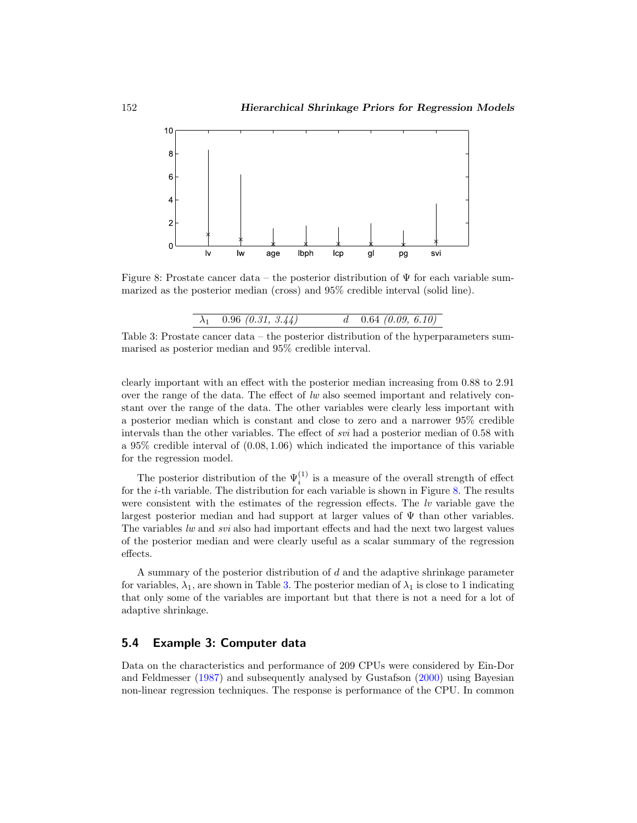<span id="page-18-0"></span>

Figure 8: Prostate cancer data – the posterior distribution of  $\Psi$  for each variable summarized as the posterior median (cross) and 95% credible interval (solid line).

Table 3: Prostate cancer data – the posterior distribution of the hyperparameters summarised as posterior median and 95% credible interval.

clearly important with an effect with the posterior median increasing from 0.88 to 2.91 over the range of the data. The effect of  $lw$  also seemed important and relatively constant over the range of the data. The other variables were clearly less important with a posterior median which is constant and close to zero and a narrower 95% credible intervals than the other variables. The effect of svi had a posterior median of 0.58 with a  $95\%$  credible interval of  $(0.08, 1.06)$  which indicated the importance of this variable for the regression model.

The posterior distribution of the  $\Psi_i^{(1)}$  is a measure of the overall strength of effect for the  $i$ -th variable. The distribution for each variable is shown in Figure [8.](#page-17-0) The results were consistent with the estimates of the regression effects. The  $lv$  variable gave the largest posterior median and had support at larger values of  $\Psi$  than other variables. The variables lw and svi also had important effects and had the next two largest values of the posterior median and were clearly useful as a scalar summary of the regression effects.

A summary of the posterior distribution of d and the adaptive shrinkage parameter for variables,  $\lambda_1$ , are shown in Table [3.](#page-17-1) The posterior median of  $\lambda_1$  is close to 1 indicating that only some of the variables are important but that there is not a need for a lot of adaptive shrinkage.

## 5.4 Example 3: Computer data

Data on the characteristics and performance of 209 CPUs were considered by Ein-Dor and Feldmesser [\(1987\)](#page-22-13) and subsequently analysed by Gustafson [\(2000\)](#page-22-14) using Bayesian non-linear regression techniques. The response is performance of the CPU. In common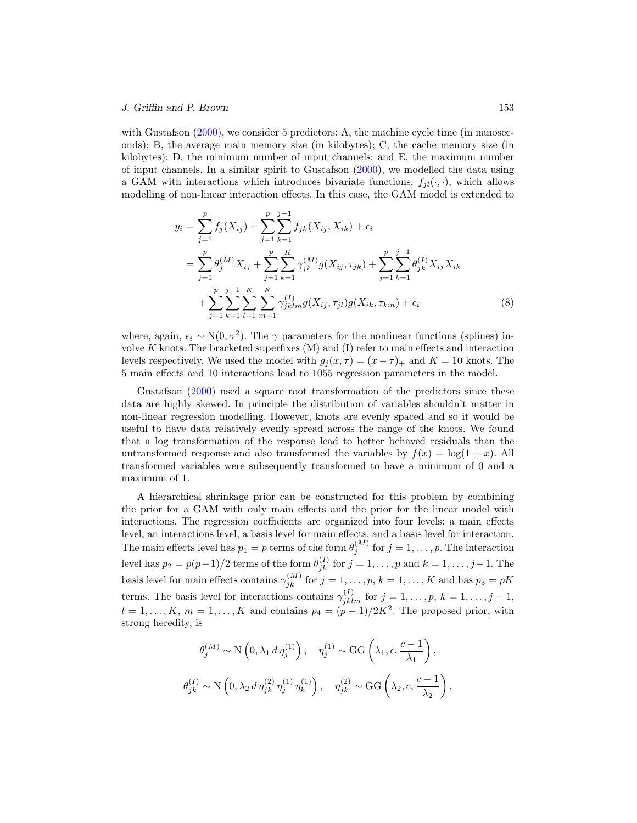#### J. Griffin and P. Brown 153

with Gustafson [\(2000](#page-22-14)), we consider 5 predictors: A, the machine cycle time (in nanoseconds); B, the average main memory size (in kilobytes); C, the cache memory size (in kilobytes); D, the minimum number of input channels; and E, the maximum number of input channels. In a similar spirit to Gustafson [\(2000](#page-22-14)), we modelled the data using a GAM with interactions which introduces bivariate functions,  $f_{jl}(\cdot, \cdot)$ , which allows modelling of non-linear interaction effects. In this case, the GAM model is extended to

$$
y_{i} = \sum_{j=1}^{p} f_{j}(X_{ij}) + \sum_{j=1}^{p} \sum_{k=1}^{j-1} f_{jk}(X_{ij}, X_{ik}) + \epsilon_{i}
$$
  
\n
$$
= \sum_{j=1}^{p} \theta_{j}^{(M)} X_{ij} + \sum_{j=1}^{p} \sum_{k=1}^{K} \gamma_{jk}^{(M)} g(X_{ij}, \tau_{jk}) + \sum_{j=1}^{p} \sum_{k=1}^{j-1} \theta_{jk}^{(I)} X_{ij} X_{ik}
$$
  
\n
$$
+ \sum_{j=1}^{p} \sum_{k=1}^{j-1} \sum_{l=1}^{K} \sum_{m=1}^{K} \gamma_{jklm}^{(I)} g(X_{ij}, \tau_{jl}) g(X_{ik}, \tau_{km}) + \epsilon_{i}
$$
(8)

<span id="page-19-0"></span>where, again,  $\epsilon_i \sim N(0, \sigma^2)$ . The  $\gamma$  parameters for the nonlinear functions (splines) involve  $K$  knots. The bracketed superfixes  $(M)$  and  $(I)$  refer to main effects and interaction levels respectively. We used the model with  $g_i(x, \tau) = (x - \tau)_+$  and  $K = 10$  knots. The 5 main effects and 10 interactions lead to 1055 regression parameters in the model.

Gustafson [\(2000\)](#page-22-14) used a square root transformation of the predictors since these data are highly skewed. In principle the distribution of variables shouldn't matter in non-linear regression modelling. However, knots are evenly spaced and so it would be useful to have data relatively evenly spread across the range of the knots. We found that a log transformation of the response lead to better behaved residuals than the untransformed response and also transformed the variables by  $f(x) = \log(1 + x)$ . All transformed variables were subsequently transformed to have a minimum of 0 and a maximum of 1.

A hierarchical shrinkage prior can be constructed for this problem by combining the prior for a GAM with only main effects and the prior for the linear model with interactions. The regression coefficients are organized into four levels: a main effects level, an interactions level, a basis level for main effects, and a basis level for interaction. The main effects level has  $p_1 = p$  terms of the form  $\theta_j^{(M)}$  for  $j = 1, \ldots, p$ . The interaction level has  $p_2 = p(p-1)/2$  terms of the form  $\theta_{jk}^{(I)}$  for  $j = 1, \ldots, p$  and  $k = 1, \ldots, j-1$ . The basis level for main effects contains  $\gamma_{jk}^{(M)}$  for  $j = 1, \ldots, p, k = 1, \ldots, K$  and has  $p_3 = pK$ terms. The basis level for interactions contains  $\gamma_{jklm}^{(I)}$  for  $j = 1, \ldots, p, k = 1, \ldots, j - 1$ ,  $l = 1, \ldots, K, m = 1, \ldots, K$  and contains  $p_4 = (p-1)/2K^2$ . The proposed prior, with strong heredity, is

$$
\theta_j^{(M)} \sim \mathcal{N}\left(0, \lambda_1 d \eta_j^{(1)}\right), \quad \eta_j^{(1)} \sim \text{GG}\left(\lambda_1, c, \frac{c-1}{\lambda_1}\right),
$$
  

$$
\theta_{jk}^{(I)} \sim \mathcal{N}\left(0, \lambda_2 d \eta_{jk}^{(2)} \eta_j^{(1)} \eta_k^{(1)}\right), \quad \eta_{jk}^{(2)} \sim \text{GG}\left(\lambda_2, c, \frac{c-1}{\lambda_2}\right),
$$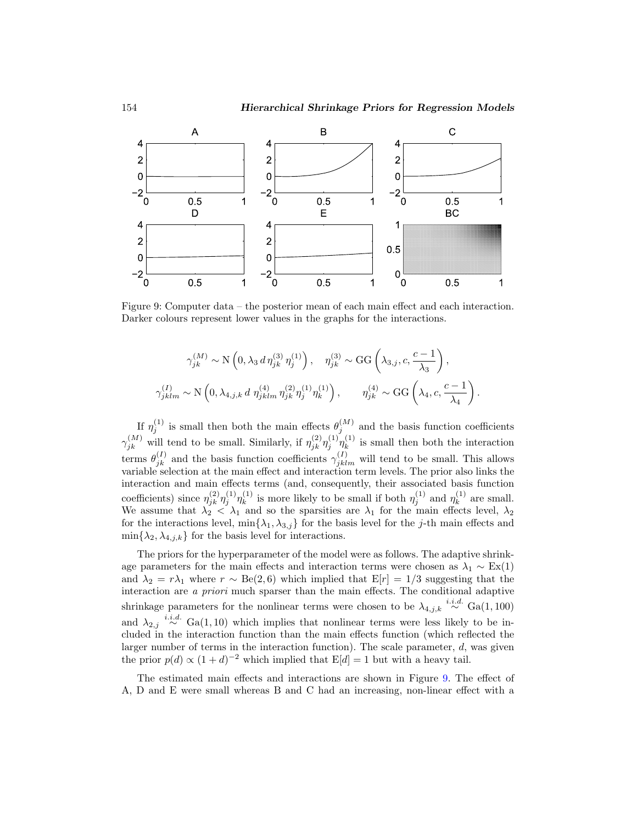

<span id="page-20-2"></span><span id="page-20-1"></span>Figure 9: Computer data – the posterior mean of each main effect and each interaction. Darker colours represent lower values in the graphs for the interactions.

$$
\gamma_{jk}^{(M)} \sim \mathcal{N}\left(0, \lambda_3 d \eta_{jk}^{(3)} \eta_j^{(1)}\right), \quad \eta_{jk}^{(3)} \sim \text{GG}\left(\lambda_{3,j}, c, \frac{c-1}{\lambda_3}\right),
$$
  

$$
\gamma_{jklm}^{(I)} \sim \mathcal{N}\left(0, \lambda_{4,j,k} d \eta_{jklm}^{(4)} \eta_{jk}^{(2)} \eta_j^{(1)} \eta_k^{(1)}\right), \qquad \eta_{jk}^{(4)} \sim \text{GG}\left(\lambda_4, c, \frac{c-1}{\lambda_4}\right).
$$

If  $\eta_j^{(1)}$  is small then both the main effects  $\theta_j^{(M)}$  and the basis function coefficients  $\gamma_{jk}^{(M)}$  will tend to be small. Similarly, if  $\eta_{jk}^{(2)}\eta_j^{(1)}\eta_k^{(1)}$  $\kappa^{(1)}$  is small then both the interaction terms  $\theta_{jk}^{(I)}$  and the basis function coefficients  $\gamma_{jklm}^{(I)}$  will tend to be small. This allows variable selection at the main effect and interaction term levels. The prior also links the interaction and main effects terms (and, consequently, their associated basis function coefficients) since  $\eta_{jk}^{(2)} \eta_j^{(1)} \eta_k^{(1)}$  $\eta_k^{(1)}$  is more likely to be small if both  $\eta_j^{(1)}$  and  $\eta_k^{(1)}$  $k^{(1)}$  are small. We assume that  $\lambda_2 < \lambda_1$  and so the sparsities are  $\lambda_1$  for the main effects level,  $\lambda_2$ for the interactions level,  $\min\{\lambda_1, \lambda_{3,j}\}$  for the basis level for the j-th main effects and  $\min\{\lambda_2, \lambda_{4,j,k}\}\$ for the basis level for interactions.

<span id="page-20-0"></span>The priors for the hyperparameter of the model were as follows. The adaptive shrinkage parameters for the main effects and interaction terms were chosen as  $\lambda_1 \sim Ex(1)$ and  $\lambda_2 = r\lambda_1$  where  $r \sim \text{Be}(2, 6)$  which implied that  $E[r]=1/3$  suggesting that the interaction are a priori much sparser than the main effects. The conditional adaptive shrinkage parameters for the nonlinear terms were chosen to be  $\lambda_{4,j,k} \stackrel{i.i.d.}{\sim} Ga(1,100)$ and  $\lambda_{2,j} \stackrel{i.i.d.}{\sim} Ga(1, 10)$  which implies that nonlinear terms were less likely to be included in the interaction function than the main effects function (which reflected the larger number of terms in the interaction function). The scale parameter, d, was given the prior  $p(d) \propto (1+d)^{-2}$  which implied that  $E[d] = 1$  but with a heavy tail.

The estimated main effects and interactions are shown in Figure [9.](#page-19-0) The effect of A, D and E were small whereas B and C had an increasing, non-linear effect with a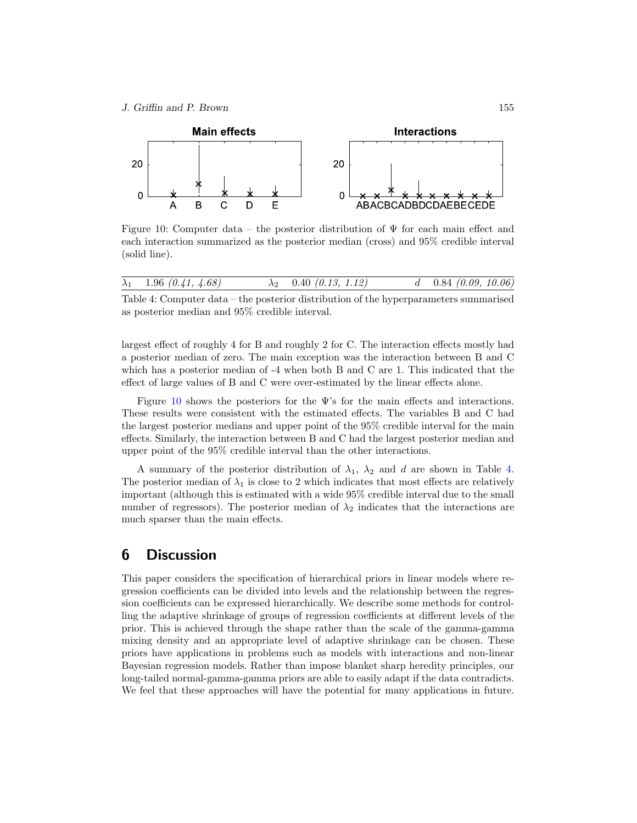<span id="page-21-10"></span>

Figure 10: Computer data – the posterior distribution of  $\Psi$  for each main effect and each interaction summarized as the posterior median (cross) and 95% credible interval (solid line).

|  | $\lambda_1$ | 1.96 $(0.41, 4.68)$ |  | $0.40$ (0.13, 1.12) |  | $0.84$ (0.09, 10.06) |
|--|-------------|---------------------|--|---------------------|--|----------------------|
|--|-------------|---------------------|--|---------------------|--|----------------------|

<span id="page-21-7"></span>Table 4: Computer data – the posterior distribution of the hyperparameters summarised as posterior median and 95% credible interval.

<span id="page-21-2"></span>largest effect of roughly 4 for B and roughly 2 for C. The interaction effects mostly had a posterior median of zero. The main exception was the interaction between B and C which has a posterior median of -4 when both B and C are 1. This indicated that the effect of large values of B and C were over-estimated by the linear effects alone.

<span id="page-21-8"></span><span id="page-21-3"></span>Figure [10](#page-20-1) shows the posteriors for the  $\Psi$ 's for the main effects and interactions. These results were consistent with the estimated effects. The variables B and C had the largest posterior medians and upper point of the 95% credible interval for the main effects. Similarly, the interaction between B and C had the largest posterior median and upper point of the 95% credible interval than the other interactions.

<span id="page-21-6"></span><span id="page-21-5"></span>A summary of the posterior distribution of  $\lambda_1$ ,  $\lambda_2$  and d are shown in Table [4.](#page-20-2) The posterior median of  $\lambda_1$  is close to 2 which indicates that most effects are relatively important (although this is estimated with a wide 95% credible interval due to the small number of regressors). The posterior median of  $\lambda_2$  indicates that the interactions are much sparser than the main effects.

# <span id="page-21-9"></span>6 Discussion

<span id="page-21-4"></span><span id="page-21-1"></span><span id="page-21-0"></span>This paper considers the specification of hierarchical priors in linear models where regression coefficients can be divided into levels and the relationship between the regression coefficients can be expressed hierarchically. We describe some methods for controlling the adaptive shrinkage of groups of regression coefficients at different levels of the prior. This is achieved through the shape rather than the scale of the gamma-gamma mixing density and an appropriate level of adaptive shrinkage can be chosen. These priors have applications in problems such as models with interactions and non-linear Bayesian regression models. Rather than impose blanket sharp heredity principles, our long-tailed normal-gamma-gamma priors are able to easily adapt if the data contradicts. We feel that these approaches will have the potential for many applications in future.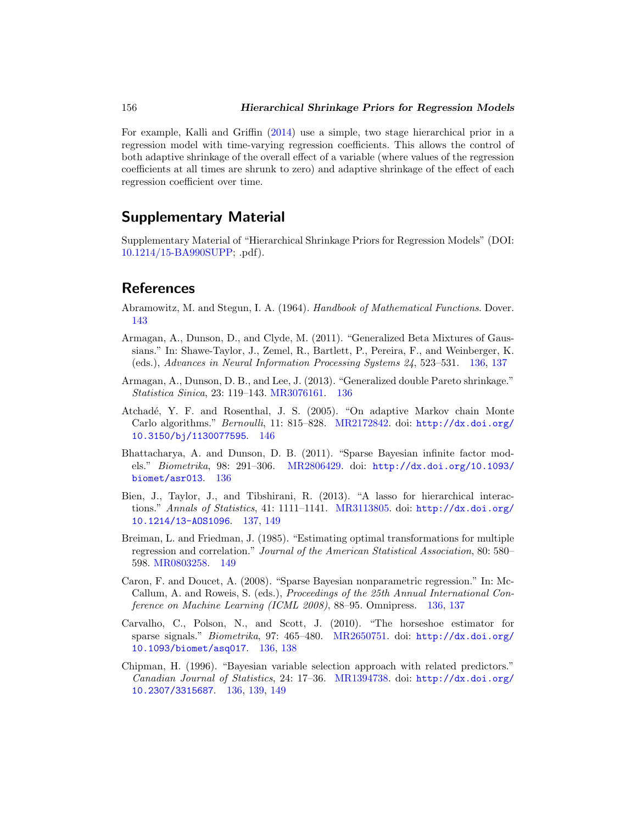<span id="page-22-5"></span>For example, Kalli and Griffin [\(2014](#page-23-11)) use a simple, two stage hierarchical prior in a regression model with time-varying regression coefficients. This allows the control of both adaptive shrinkage of the overall effect of a variable (where values of the regression coefficients at all times are shrunk to zero) and adaptive shrinkage of the effect of each regression coefficient over time.

## <span id="page-22-13"></span><span id="page-22-10"></span>Supplementary Material

<span id="page-22-0"></span>Supplementary Material of "Hierarchical Shrinkage Priors for Regression Models" (DOI: [10.1214/15-BA990SUPP;](http://dx.doi.org/10.1214/15-BA990SUPP) .pdf).

## <span id="page-22-12"></span>References

- <span id="page-22-2"></span>Abramowitz, M. and Stegun, I. A. (1964). Handbook of Mathematical Functions. Dover. [143](#page-8-0)
- <span id="page-22-4"></span>Armagan, A., Dunson, D., and Clyde, M. (2011). "Generalized Beta Mixtures of Gaussians." In: Shawe-Taylor, J., Zemel, R., Bartlett, P., Pereira, F., and Weinberger, K. (eds.), Advances in Neural Information Processing Systems 24, 523–531. [136,](#page-1-0) [137](#page-2-3)
- Armagan, A., Dunson, D. B., and Lee, J. (2013). "Generalized double Pareto shrinkage." Statistica Sinica, 23: 119–143. [MR3076161.](http://www.ams.org/mathscinet-getitem?mr=3076161) [136](#page-1-0)
- <span id="page-22-6"></span>Atchad´e, Y. F. and Rosenthal, J. S. (2005). "On adaptive Markov chain Monte Carlo algorithms." Bernoulli, 11: 815–828. [MR2172842.](http://www.ams.org/mathscinet-getitem?mr=2172842) doi: [http://dx.doi.org/](http://dx.doi.org/10.3150/bj/1130077595) [10.3150/bj/1130077595](http://dx.doi.org/10.3150/bj/1130077595). [146](#page-11-1)
- <span id="page-22-7"></span>Bhattacharya, A. and Dunson, D. B. (2011). "Sparse Bayesian infinite factor models." Biometrika, 98: 291–306. [MR2806429.](http://www.ams.org/mathscinet-getitem?mr=2806429) doi: [http://dx.doi.org/10.1093/](http://dx.doi.org/10.1093/biomet/asr013) [biomet/asr013](http://dx.doi.org/10.1093/biomet/asr013). [136](#page-1-0)
- <span id="page-22-8"></span>Bien, J., Taylor, J., and Tibshirani, R. (2013). "A lasso for hierarchical interactions." Annals of Statistics, 41: 1111–1141. [MR3113805.](http://www.ams.org/mathscinet-getitem?mr=3113805) doi: [http://dx.doi.org/](http://dx.doi.org/10.1214/13-AOS1096) [10.1214/13-AOS1096](http://dx.doi.org/10.1214/13-AOS1096). [137,](#page-2-3) [149](#page-14-2)
- <span id="page-22-14"></span>Breiman, L. and Friedman, J. (1985). "Estimating optimal transformations for multiple regression and correlation." Journal of the American Statistical Association, 80: 580– 598. [MR0803258.](http://www.ams.org/mathscinet-getitem?mr=0803258) [149](#page-14-2)
- <span id="page-22-11"></span><span id="page-22-1"></span>Caron, F. and Doucet, A. (2008). "Sparse Bayesian nonparametric regression." In: Mc-Callum, A. and Roweis, S. (eds.), Proceedings of the 25th Annual International Conference on Machine Learning (ICML 2008), 88–95. Omnipress. [136,](#page-1-0) [137](#page-2-3)
- <span id="page-22-3"></span>Carvalho, C., Polson, N., and Scott, J. (2010). "The horseshoe estimator for sparse signals." Biometrika, 97: 465–480. [MR2650751.](http://www.ams.org/mathscinet-getitem?mr=2650751) doi: [http://dx.doi.org/](http://dx.doi.org/10.1093/biomet/asq017) [10.1093/biomet/asq017](http://dx.doi.org/10.1093/biomet/asq017). [136,](#page-1-0) [138](#page-3-1)
- <span id="page-22-9"></span>Chipman, H. (1996). "Bayesian variable selection approach with related predictors." Canadian Journal of Statistics, 24: 17–36. [MR1394738.](http://www.ams.org/mathscinet-getitem?mr=1394738) doi: [http://dx.doi.org/](http://dx.doi.org/10.2307/3315687) [10.2307/3315687](http://dx.doi.org/10.2307/3315687). [136,](#page-1-0) [139,](#page-4-5) [149](#page-14-2)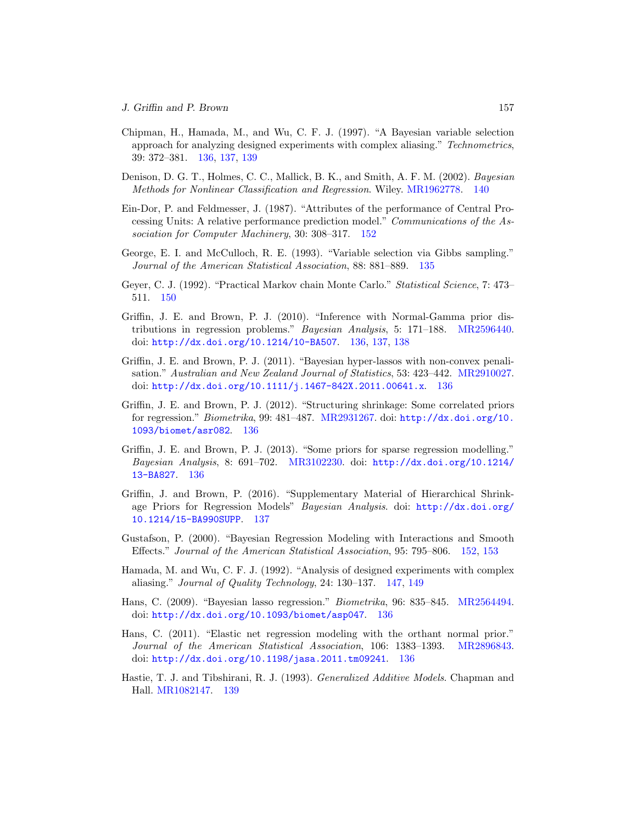- <span id="page-23-6"></span>Chipman, H., Hamada, M., and Wu, C. F. J. (1997). "A Bayesian variable selection approach for analyzing designed experiments with complex aliasing." Technometrics, 39: 372–381. [136,](#page-1-0) [137,](#page-2-3) [139](#page-4-5)
- <span id="page-23-8"></span>Denison, D. G. T., Holmes, C. C., Mallick, B. K., and Smith, A. F. M. (2002). Bayesian Methods for Nonlinear Classification and Regression. Wiley. [MR1962778.](http://www.ams.org/mathscinet-getitem?mr=1962778) [140](#page-5-0)
- <span id="page-23-11"></span>Ein-Dor, P. and Feldmesser, J. (1987). "Attributes of the performance of Central Processing Units: A relative performance prediction model." Communications of the Association for Computer Machinery, 30: 308–317. [152](#page-17-2)
- <span id="page-23-7"></span>George, E. I. and McCulloch, R. E. (1993). "Variable selection via Gibbs sampling." Journal of the American Statistical Association, 88: 881–889. [135](#page-0-2)
- <span id="page-23-4"></span>Geyer, C. J. (1992). "Practical Markov chain Monte Carlo." Statistical Science, 7: 473– 511. [150](#page-15-0)
- Griffin, J. E. and Brown, P. J. (2010). "Inference with Normal-Gamma prior distributions in regression problems." Bayesian Analysis, 5: 171–188. [MR2596440.](http://www.ams.org/mathscinet-getitem?mr=2596440) doi: <http://dx.doi.org/10.1214/10-BA507>. [136,](#page-1-0) [137,](#page-2-3) [138](#page-3-1)
- <span id="page-23-10"></span>Griffin, J. E. and Brown, P. J. (2011). "Bayesian hyper-lassos with non-convex penalisation." Australian and New Zealand Journal of Statistics, 53: 423–442. [MR2910027.](http://www.ams.org/mathscinet-getitem?mr=2910027) doi: <http://dx.doi.org/10.1111/j.1467-842X.2011.00641.x>. [136](#page-1-0)
- <span id="page-23-3"></span>Griffin, J. E. and Brown, P. J. (2012). "Structuring shrinkage: Some correlated priors for regression." Biometrika, 99: 481–487. [MR2931267.](http://www.ams.org/mathscinet-getitem?mr=2931267) doi: [http://dx.doi.org/10.](http://dx.doi.org/10.1093/biomet/asr082) [1093/biomet/asr082](http://dx.doi.org/10.1093/biomet/asr082). [136](#page-1-0)
- <span id="page-23-5"></span>Griffin, J. E. and Brown, P. J. (2013). "Some priors for sparse regression modelling." Bayesian Analysis, 8: 691–702. [MR3102230.](http://www.ams.org/mathscinet-getitem?mr=3102230) doi: [http://dx.doi.org/10.1214/](http://dx.doi.org/10.1214/13-BA827) [13-BA827](http://dx.doi.org/10.1214/13-BA827). [136](#page-1-0)
- <span id="page-23-9"></span>Griffin, J. and Brown, P. (2016). "Supplementary Material of Hierarchical Shrinkage Priors for Regression Models" Bayesian Analysis. doi: [http://dx.doi.org/](http://dx.doi.org/10.1214/15-BA990SUPP) [10.1214/15-BA990SUPP](http://dx.doi.org/10.1214/15-BA990SUPP). [137](#page-2-3)
- <span id="page-23-1"></span>Gustafson, P. (2000). "Bayesian Regression Modeling with Interactions and Smooth Effects." Journal of the American Statistical Association, 95: 795–806. [152,](#page-17-2) [153](#page-18-0)
- Hamada, M. and Wu, C. F. J. (1992). "Analysis of designed experiments with complex aliasing." Journal of Quality Technology, 24: 130–137. [147,](#page-12-1) [149](#page-14-2)
- <span id="page-23-2"></span>Hans, C. (2009). "Bayesian lasso regression." Biometrika, 96: 835–845. [MR2564494.](http://www.ams.org/mathscinet-getitem?mr=2564494) doi: <http://dx.doi.org/10.1093/biomet/asp047>. [136](#page-1-0)
- <span id="page-23-0"></span>Hans, C. (2011). "Elastic net regression modeling with the orthant normal prior." Journal of the American Statistical Association, 106: 1383–1393. [MR2896843.](http://www.ams.org/mathscinet-getitem?mr=2896843) doi: <http://dx.doi.org/10.1198/jasa.2011.tm09241>. [136](#page-1-0)
- Hastie, T. J. and Tibshirani, R. J. (1993). Generalized Additive Models. Chapman and Hall. [MR1082147.](http://www.ams.org/mathscinet-getitem?mr=1082147) [139](#page-4-5)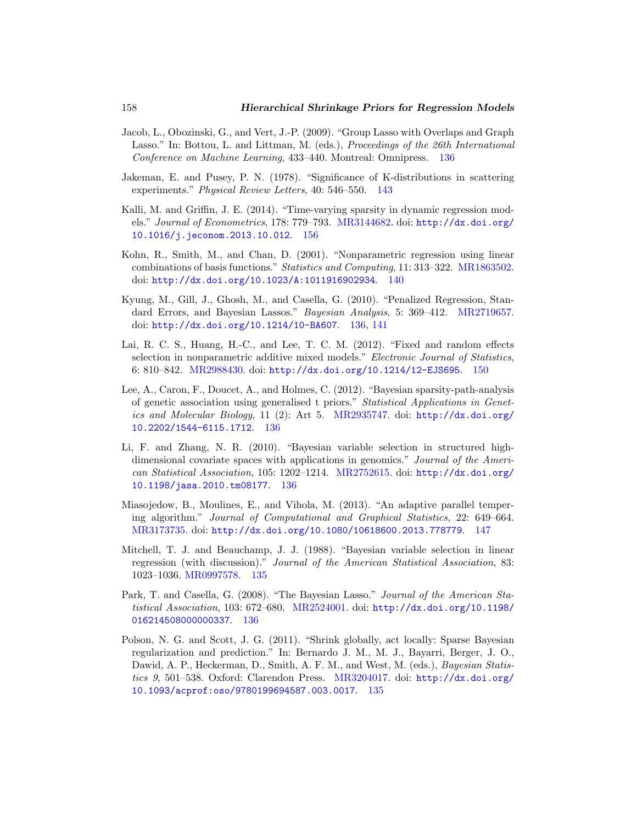- <span id="page-24-8"></span>Jacob, L., Obozinski, G., and Vert, J.-P. (2009). "Group Lasso with Overlaps and Graph Lasso." In: Bottou, L. and Littman, M. (eds.), Proceedings of the 26th International Conference on Machine Learning, 433–440. Montreal: Omnipress. [136](#page-1-0)
- <span id="page-24-0"></span>Jakeman, E. and Pusey, P. N. (1978). "Significance of K-distributions in scattering experiments." Physical Review Letters, 40: 546–550. [143](#page-8-0)
- <span id="page-24-7"></span>Kalli, M. and Griffin, J. E. (2014). "Time-varying sparsity in dynamic regression models." Journal of Econometrics, 178: 779–793. [MR3144682.](http://www.ams.org/mathscinet-getitem?mr=3144682) doi: [http://dx.doi.org/](http://dx.doi.org/10.1016/j.jeconom.2013.10.012) [10.1016/j.jeconom.2013.10.012](http://dx.doi.org/10.1016/j.jeconom.2013.10.012). [156](#page-21-10)
- <span id="page-24-2"></span>Kohn, R., Smith, M., and Chan, D. (2001). "Nonparametric regression using linear combinations of basis functions." Statistics and Computing, 11: 313–322. [MR1863502.](http://www.ams.org/mathscinet-getitem?mr=1863502) doi: <http://dx.doi.org/10.1023/A:1011916902934>. [140](#page-5-0)
- <span id="page-24-10"></span>Kyung, M., Gill, J., Ghosh, M., and Casella, G. (2010). "Penalized Regression, Stan-dard Errors, and Bayesian Lassos." Bayesian Analysis, 5: 369–412. [MR2719657.](http://www.ams.org/mathscinet-getitem?mr=2719657) doi: <http://dx.doi.org/10.1214/10-BA607>. [136,](#page-1-0) [141](#page-6-2)
- <span id="page-24-11"></span>Lai, R. C. S., Huang, H.-C., and Lee, T. C. M. (2012). "Fixed and random effects selection in nonparametric additive mixed models." Electronic Journal of Statistics, 6: 810–842. [MR2988430.](http://www.ams.org/mathscinet-getitem?mr=2988430) doi: <http://dx.doi.org/10.1214/12-EJS695>. [150](#page-15-0)
- <span id="page-24-5"></span>Lee, A., Caron, F., Doucet, A., and Holmes, C. (2012). "Bayesian sparsity-path-analysis of genetic association using generalised t priors." Statistical Applications in Genetics and Molecular Biology, 11 (2): Art 5. [MR2935747.](http://www.ams.org/mathscinet-getitem?mr=2935747) doi: [http://dx.doi.org/](http://dx.doi.org/10.2202/1544-6115.1712) [10.2202/1544-6115.1712](http://dx.doi.org/10.2202/1544-6115.1712). [136](#page-1-0)
- <span id="page-24-12"></span>Li, F. and Zhang, N. R. (2010). "Bayesian variable selection in structured highdimensional covariate spaces with applications in genomics." Journal of the American Statistical Association, 105: 1202–1214. [MR2752615.](http://www.ams.org/mathscinet-getitem?mr=2752615) doi: [http://dx.doi.org/](http://dx.doi.org/10.1198/jasa.2010.tm08177) [10.1198/jasa.2010.tm08177](http://dx.doi.org/10.1198/jasa.2010.tm08177). [136](#page-1-0)
- <span id="page-24-4"></span>Miasojedow, B., Moulines, E., and Vihola, M. (2013). "An adaptive parallel tempering algorithm." Journal of Computational and Graphical Statistics, 22: 649–664. [MR3173735.](http://www.ams.org/mathscinet-getitem?mr=3173735) doi: <http://dx.doi.org/10.1080/10618600.2013.778779>. [147](#page-12-1)
- <span id="page-24-3"></span>Mitchell, T. J. and Beauchamp, J. J. (1988). "Bayesian variable selection in linear regression (with discussion)." Journal of the American Statistical Association, 83: 1023–1036. [MR0997578.](http://www.ams.org/mathscinet-getitem?mr=0997578) [135](#page-0-2)
- <span id="page-24-9"></span>Park, T. and Casella, G. (2008). "The Bayesian Lasso." Journal of the American Statistical Association, 103: 672–680. [MR2524001.](http://www.ams.org/mathscinet-getitem?mr=2524001) doi: [http://dx.doi.org/10.1198/](http://dx.doi.org/10.1198/016214508000000337) [016214508000000337](http://dx.doi.org/10.1198/016214508000000337). [136](#page-1-0)
- <span id="page-24-6"></span><span id="page-24-1"></span>Polson, N. G. and Scott, J. G. (2011). "Shrink globally, act locally: Sparse Bayesian regularization and prediction." In: Bernardo J. M., M. J., Bayarri, Berger, J. O., Dawid, A. P., Heckerman, D., Smith, A. F. M., and West, M. (eds.), Bayesian Statistics 9, 501–538. Oxford: Clarendon Press. [MR3204017.](http://www.ams.org/mathscinet-getitem?mr=3204017) doi: [http://dx.doi.org/](http://dx.doi.org/10.1093/acprof:oso/9780199694587.003.0017) [10.1093/acprof:oso/9780199694587.003.0017](http://dx.doi.org/10.1093/acprof:oso/9780199694587.003.0017). [135](#page-0-2)